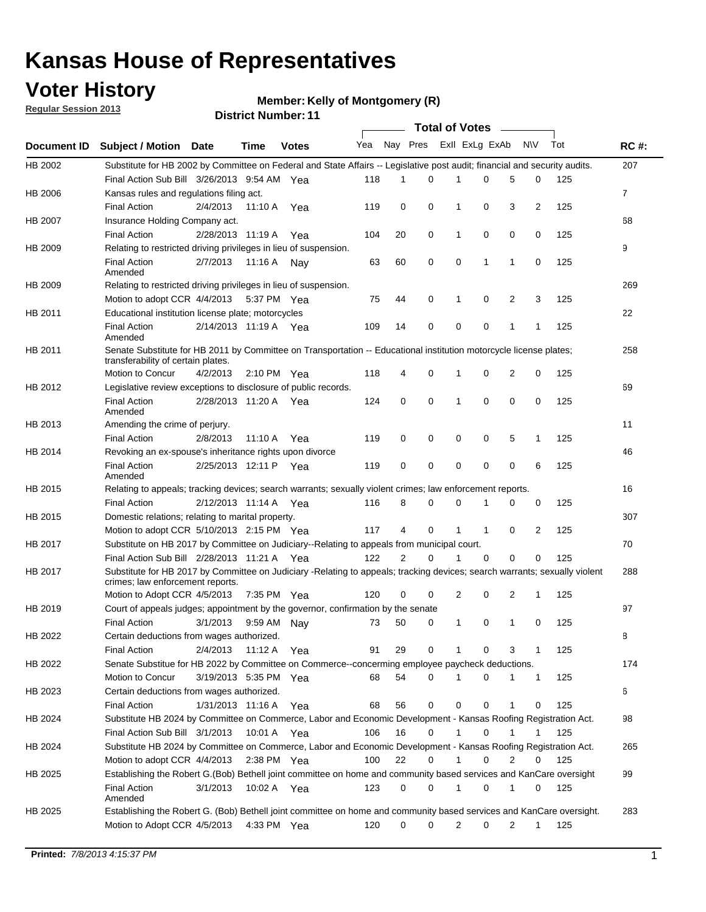### **Voter History**

**Member: Kelly of Montgomery (R)** 

**Regular Session 2013**

|                    |                                                                                                                                                                |                       |             | <b>DISTRICT NUMBER</b> : 11 |     |             |             | Total of Votes – |             |   |              |     |                |
|--------------------|----------------------------------------------------------------------------------------------------------------------------------------------------------------|-----------------------|-------------|-----------------------------|-----|-------------|-------------|------------------|-------------|---|--------------|-----|----------------|
| <b>Document ID</b> | <b>Subject / Motion</b>                                                                                                                                        | Date                  | Time        | <b>Votes</b>                | Yea | Nay Pres    |             | Exll ExLg ExAb   |             |   | <b>NV</b>    | Tot | <b>RC#:</b>    |
| HB 2002            | Substitute for HB 2002 by Committee on Federal and State Affairs -- Legislative post audit; financial and security audits.                                     |                       |             |                             |     |             |             |                  |             |   |              |     | 207            |
|                    | Final Action Sub Bill 3/26/2013 9:54 AM Yea                                                                                                                    |                       |             |                             | 118 | 1           | 0           |                  | 0           | 5 | 0            | 125 |                |
| HB 2006            | Kansas rules and regulations filing act.                                                                                                                       |                       |             |                             |     |             |             |                  |             |   |              |     | $\overline{7}$ |
|                    | <b>Final Action</b>                                                                                                                                            | 2/4/2013              | 11:10 A     | Yea                         | 119 | 0           | 0           | 1                | 0           | 3 | 2            | 125 |                |
| HB 2007            | Insurance Holding Company act.                                                                                                                                 |                       |             |                             |     |             |             |                  |             |   |              |     | 68             |
|                    | <b>Final Action</b>                                                                                                                                            | 2/28/2013 11:19 A     |             | Yea                         | 104 | 20          | 0           | 1                | 0           | 0 | 0            | 125 |                |
| HB 2009            | Relating to restricted driving privileges in lieu of suspension.                                                                                               |                       |             |                             |     |             |             |                  |             |   |              |     | 9              |
|                    | <b>Final Action</b><br>Amended                                                                                                                                 | 2/7/2013              | 11:16 A     | Nav                         | 63  | 60          | 0           | 0                | 1           | 1 | 0            | 125 |                |
| HB 2009            | Relating to restricted driving privileges in lieu of suspension.                                                                                               |                       |             |                             |     |             |             |                  |             |   |              |     | 269            |
|                    | Motion to adopt CCR 4/4/2013                                                                                                                                   |                       | 5:37 PM Yea |                             | 75  | 44          | 0           | 1                | 0           | 2 | 3            | 125 |                |
| HB 2011            | Educational institution license plate; motorcycles                                                                                                             |                       |             |                             |     |             |             |                  |             |   |              |     | 22             |
|                    | <b>Final Action</b><br>Amended                                                                                                                                 | 2/14/2013 11:19 A     |             | Yea                         | 109 | 14          | 0           | 0                | 0           | 1 | 1            | 125 |                |
| HB 2011            | Senate Substitute for HB 2011 by Committee on Transportation -- Educational institution motorcycle license plates;<br>transferability of certain plates.       |                       |             |                             |     |             |             |                  |             |   |              |     | 258            |
|                    | Motion to Concur                                                                                                                                               | 4/2/2013              |             | 2:10 PM Yea                 | 118 | 4           | 0           | 1                | 0           | 2 | 0            | 125 |                |
| HB 2012            | Legislative review exceptions to disclosure of public records.                                                                                                 |                       |             |                             |     |             |             |                  |             |   |              |     | 69             |
|                    | <b>Final Action</b><br>Amended                                                                                                                                 | 2/28/2013 11:20 A Yea |             |                             | 124 | 0           | 0           | 1                | $\mathbf 0$ | 0 | 0            | 125 |                |
| HB 2013            | Amending the crime of perjury.                                                                                                                                 |                       |             |                             |     |             |             |                  |             |   |              |     | 11             |
|                    | <b>Final Action</b>                                                                                                                                            | 2/8/2013              | 11:10 A     | Yea                         | 119 | 0           | 0           | 0                | 0           | 5 | $\mathbf 1$  | 125 |                |
| HB 2014            | Revoking an ex-spouse's inheritance rights upon divorce                                                                                                        |                       |             |                             |     |             |             |                  |             |   |              |     | 46             |
|                    | <b>Final Action</b><br>Amended                                                                                                                                 | 2/25/2013 12:11 P     |             | Yea                         | 119 | $\mathbf 0$ | $\mathbf 0$ | $\mathbf 0$      | 0           | 0 | 6            | 125 |                |
| HB 2015            | Relating to appeals; tracking devices; search warrants; sexually violent crimes; law enforcement reports.                                                      |                       |             |                             |     |             |             |                  |             |   |              |     | 16             |
|                    | <b>Final Action</b>                                                                                                                                            | 2/12/2013 11:14 A     |             | Yea                         | 116 | 8           | 0           | 0                | 1           | 0 | 0            | 125 |                |
| HB 2015            | Domestic relations; relating to marital property.                                                                                                              |                       |             |                             |     |             |             |                  |             |   |              |     | 307            |
|                    | Motion to adopt CCR 5/10/2013 2:15 PM Yea                                                                                                                      |                       |             |                             | 117 | 4           | 0           | $\mathbf 1$      | $\mathbf 1$ | 0 | 2            | 125 |                |
| HB 2017            | Substitute on HB 2017 by Committee on Judiciary--Relating to appeals from municipal court.                                                                     |                       |             |                             |     |             |             |                  |             |   |              |     | 70             |
|                    | Final Action Sub Bill 2/28/2013 11:21 A Yea                                                                                                                    |                       |             |                             | 122 | 2           | 0           | 1                | 0           | 0 | 0            | 125 |                |
| HB 2017            | Substitute for HB 2017 by Committee on Judiciary -Relating to appeals; tracking devices; search warrants; sexually violent<br>crimes; law enforcement reports. |                       |             |                             |     |             |             |                  |             |   |              |     | 288            |
|                    | Motion to Adopt CCR 4/5/2013                                                                                                                                   |                       | 7:35 PM Yea |                             | 120 | 0           | 0           | 2                | 0           | 2 | 1            | 125 |                |
| HB 2019            | Court of appeals judges; appointment by the governor, confirmation by the senate                                                                               |                       |             |                             |     |             |             |                  |             |   |              |     | 97             |
|                    | <b>Final Action</b>                                                                                                                                            | 3/1/2013              |             | 9:59 AM Nay                 | 73  | 50          | 0           | 1                | 0           | 1 | 0            | 125 |                |
| HB 2022            | Certain deductions from wages authorized.                                                                                                                      |                       |             |                             |     |             |             |                  |             |   |              |     | В              |
|                    | <b>Final Action</b>                                                                                                                                            | 2/4/2013              | 11:12 A     | Yea                         | 91  | 29          | 0           | 1                | 0           | 3 | 1            | 125 |                |
| HB 2022            | Senate Substitue for HB 2022 by Committee on Commerce--concerming employee paycheck deductions.                                                                |                       |             |                             |     |             |             |                  |             |   |              |     | 174            |
|                    | Motion to Concur                                                                                                                                               | 3/19/2013 5:35 PM Yea |             |                             | 68  | 54          | 0           | 1                | 0           | 1 | $\mathbf{1}$ | 125 |                |
| HB 2023            | Certain deductions from wages authorized.                                                                                                                      |                       |             |                             |     |             |             |                  |             |   |              |     | 6              |
|                    | <b>Final Action</b>                                                                                                                                            | 1/31/2013 11:16 A     |             | Yea                         | 68  | 56          | 0           | 0                | 0           | 1 | 0            | 125 |                |
| HB 2024            | Substitute HB 2024 by Committee on Commerce, Labor and Economic Development - Kansas Roofing Registration Act.                                                 |                       |             |                             |     |             |             |                  |             |   |              |     | 98             |
|                    | Final Action Sub Bill 3/1/2013                                                                                                                                 |                       | 10:01 A     | Yea                         | 106 | 16          | 0           | 1                | 0           | 1 | 1            | 125 |                |
| HB 2024            | Substitute HB 2024 by Committee on Commerce, Labor and Economic Development - Kansas Roofing Registration Act.                                                 |                       |             |                             |     |             |             |                  |             |   |              |     | 265            |
|                    | Motion to adopt CCR 4/4/2013                                                                                                                                   |                       |             | $2:38$ PM Yea               | 100 | 22          | 0           | 1                | 0           | 2 | 0            | 125 |                |
| HB 2025            | Establishing the Robert G.(Bob) Bethell joint committee on home and community based services and KanCare oversight                                             |                       |             |                             |     |             |             |                  |             |   |              |     | 99             |
|                    | <b>Final Action</b><br>Amended                                                                                                                                 | 3/1/2013              |             | 10:02 A Yea                 | 123 | 0           | 0           | 1                | 0           | 1 | 0            | 125 |                |
| HB 2025            | Establishing the Robert G. (Bob) Bethell joint committee on home and community based services and KanCare oversight.                                           |                       |             |                             |     |             |             |                  |             |   |              |     | 283            |
|                    | Motion to Adopt CCR 4/5/2013                                                                                                                                   |                       |             | 4:33 PM Yea                 | 120 | 0           | 0           | 2                | 0           | 2 | $\mathbf{1}$ | 125 |                |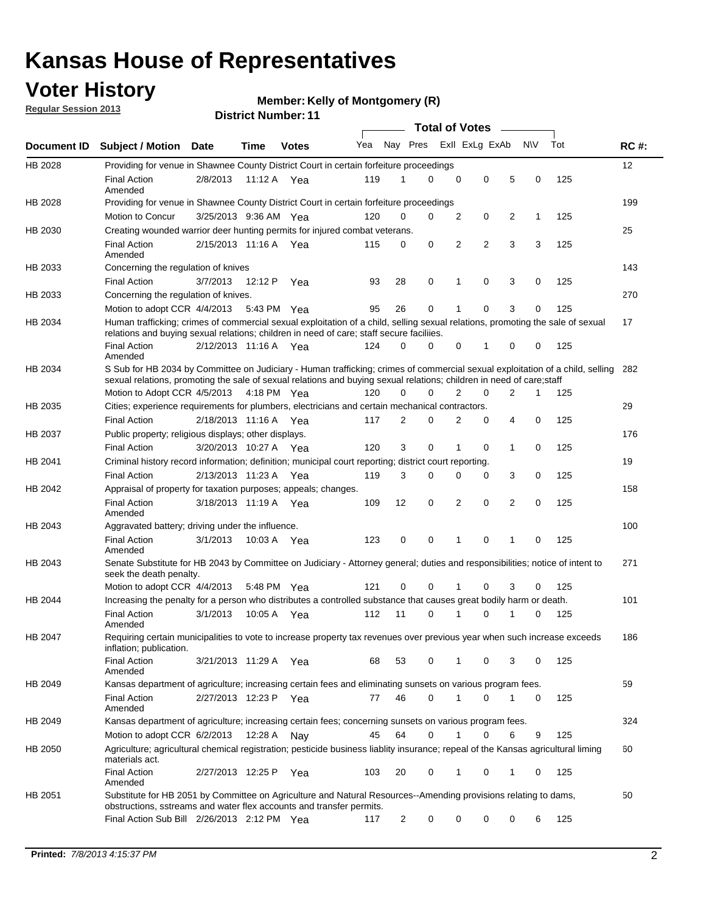### **Voter History**

**Member: Kelly of Montgomery (R)** 

**Regular Session 2013**

|             |                                                                                                                                                                                                                                                        |                       | PIJUIVI IIUIIIIVUI . I I |              |     |                         | <b>Total of Votes</b> |   |   |                |           |     |     |
|-------------|--------------------------------------------------------------------------------------------------------------------------------------------------------------------------------------------------------------------------------------------------------|-----------------------|--------------------------|--------------|-----|-------------------------|-----------------------|---|---|----------------|-----------|-----|-----|
| Document ID | <b>Subject / Motion</b>                                                                                                                                                                                                                                | <b>Date</b>           | Time                     | <b>Votes</b> | Yea | Nay Pres Exll ExLg ExAb |                       |   |   |                | <b>NV</b> | Tot | RC# |
| HB 2028     | Providing for venue in Shawnee County District Court in certain forfeiture proceedings                                                                                                                                                                 |                       |                          |              |     |                         |                       |   |   |                |           |     | 12  |
|             | <b>Final Action</b><br>Amended                                                                                                                                                                                                                         | 2/8/2013              | 11:12 A Yea              |              | 119 | 1                       | 0                     | 0 | 0 | 5              | 0         | 125 |     |
| HB 2028     | Providing for venue in Shawnee County District Court in certain forfeiture proceedings                                                                                                                                                                 |                       |                          |              |     |                         |                       |   |   |                |           |     | 199 |
|             | <b>Motion to Concur</b>                                                                                                                                                                                                                                | 3/25/2013 9:36 AM Yea |                          |              | 120 | 0                       | 0                     | 2 | 0 | 2              | 1         | 125 |     |
| HB 2030     | Creating wounded warrior deer hunting permits for injured combat veterans.                                                                                                                                                                             |                       |                          |              |     |                         |                       |   |   |                |           |     | 25  |
|             | <b>Final Action</b><br>Amended                                                                                                                                                                                                                         | 2/15/2013 11:16 A     |                          | Yea          | 115 | 0                       | 0                     | 2 | 2 | 3              | 3         | 125 |     |
| HB 2033     | Concerning the regulation of knives                                                                                                                                                                                                                    |                       |                          |              |     |                         |                       |   |   |                |           |     | 143 |
|             | <b>Final Action</b>                                                                                                                                                                                                                                    | 3/7/2013              | 12:12 P                  | Yea          | 93  | 28                      | 0                     | 1 | 0 | 3              | 0         | 125 |     |
| HB 2033     | Concerning the regulation of knives.                                                                                                                                                                                                                   |                       |                          |              |     |                         |                       |   |   |                |           |     | 270 |
|             | Motion to adopt CCR 4/4/2013                                                                                                                                                                                                                           |                       | 5:43 PM Yea              |              | 95  | 26                      | 0                     |   | 0 | 3              | 0         | 125 |     |
| HB 2034     | Human trafficking; crimes of commercial sexual exploitation of a child, selling sexual relations, promoting the sale of sexual<br>relations and buying sexual relations; children in need of care; staff secure faciliies.                             |                       |                          |              |     |                         |                       |   |   |                |           |     | 17  |
|             | <b>Final Action</b><br>Amended                                                                                                                                                                                                                         | 2/12/2013 11:16 A Yea |                          |              | 124 | 0                       | 0                     | 0 | 1 | 0              | 0         | 125 |     |
| HB 2034     | S Sub for HB 2034 by Committee on Judiciary - Human trafficking; crimes of commercial sexual exploitation of a child, selling<br>sexual relations, promoting the sale of sexual relations and buying sexual relations; children in need of care; staff |                       |                          |              |     |                         |                       |   |   |                |           |     | 282 |
|             | Motion to Adopt CCR 4/5/2013 4:18 PM Yea                                                                                                                                                                                                               |                       |                          |              | 120 | 0                       | $\Omega$              | 2 | 0 | $\overline{2}$ | 1         | 125 |     |
| HB 2035     | Cities; experience requirements for plumbers, electricians and certain mechanical contractors.                                                                                                                                                         |                       |                          |              |     |                         |                       |   |   |                |           |     | 29  |
|             | <b>Final Action</b>                                                                                                                                                                                                                                    | 2/18/2013 11:16 A     |                          | Yea          | 117 | 2                       | 0                     | 2 | 0 | 4              | 0         | 125 |     |
| HB 2037     | Public property; religious displays; other displays.                                                                                                                                                                                                   |                       |                          |              |     |                         |                       |   |   |                |           |     | 176 |
|             | <b>Final Action</b>                                                                                                                                                                                                                                    | 3/20/2013 10:27 A Yea |                          |              | 120 | 3                       | 0                     | 1 | 0 | $\mathbf{1}$   | 0         | 125 |     |
| HB 2041     | Criminal history record information; definition; municipal court reporting; district court reporting.                                                                                                                                                  |                       |                          |              |     |                         |                       |   |   |                |           |     | 19  |
|             | <b>Final Action</b>                                                                                                                                                                                                                                    | 2/13/2013 11:23 A     |                          | Yea          | 119 | 3                       | 0                     | 0 | 0 | 3              | 0         | 125 |     |
| HB 2042     | Appraisal of property for taxation purposes; appeals; changes.                                                                                                                                                                                         |                       |                          |              |     |                         |                       |   |   |                |           |     | 158 |
|             | <b>Final Action</b><br>Amended                                                                                                                                                                                                                         | 3/18/2013 11:19 A Yea |                          |              | 109 | 12                      | 0                     | 2 | 0 | 2              | 0         | 125 |     |
| HB 2043     | Aggravated battery; driving under the influence.                                                                                                                                                                                                       |                       |                          |              |     |                         |                       |   |   |                |           |     | 100 |
|             | <b>Final Action</b><br>Amended                                                                                                                                                                                                                         | 3/1/2013              | 10:03 A Yea              |              | 123 | 0                       | 0                     | 1 | 0 | 1              | 0         | 125 |     |
| HB 2043     | Senate Substitute for HB 2043 by Committee on Judiciary - Attorney general; duties and responsibilities; notice of intent to<br>seek the death penalty.                                                                                                |                       |                          |              |     |                         |                       |   |   |                |           |     | 271 |
|             | Motion to adopt CCR 4/4/2013                                                                                                                                                                                                                           |                       | 5:48 PM                  | Yea          | 121 | 0                       | 0                     |   | 0 | 3              | 0         | 125 |     |
| HB 2044     | Increasing the penalty for a person who distributes a controlled substance that causes great bodily harm or death.                                                                                                                                     |                       |                          |              |     |                         |                       |   |   |                |           |     | 101 |
|             | <b>Final Action</b><br>Amended                                                                                                                                                                                                                         | 3/1/2013              | 10:05 A                  | Yea          | 112 | 11                      | $\Omega$              |   | 0 |                | 0         | 125 |     |
| HB 2047     | Requiring certain municipalities to vote to increase property tax revenues over previous year when such increase exceeds<br>inflation; publication.                                                                                                    |                       |                          |              |     |                         |                       |   |   |                |           |     | 186 |
|             | <b>Final Action</b><br>Amended                                                                                                                                                                                                                         | 3/21/2013 11:29 A Yea |                          |              | 68  | 53                      | 0                     | 1 | 0 | 3              | 0         | 125 |     |
| HB 2049     | Kansas department of agriculture; increasing certain fees and eliminating sunsets on various program fees.                                                                                                                                             |                       |                          |              |     |                         |                       |   |   |                |           |     | 59  |
|             | <b>Final Action</b><br>Amended                                                                                                                                                                                                                         | 2/27/2013 12:23 P Yea |                          |              | 77  | 46                      | $\Omega$              | 1 | 0 | 1              | 0         | 125 |     |
| HB 2049     | Kansas department of agriculture; increasing certain fees; concerning sunsets on various program fees.                                                                                                                                                 |                       |                          |              |     |                         |                       |   |   |                |           |     | 324 |
|             | Motion to adopt CCR 6/2/2013                                                                                                                                                                                                                           |                       | 12:28 A                  | Nay          | 45  | 64                      | 0                     |   | 0 | 6              | 9         | 125 |     |
| HB 2050     | Agriculture; agricultural chemical registration; pesticide business liablity insurance; repeal of the Kansas agricultural liming<br>materials act.                                                                                                     |                       |                          |              |     |                         |                       |   |   |                |           |     | 60  |
|             | <b>Final Action</b><br>Amended                                                                                                                                                                                                                         | 2/27/2013 12:25 P     |                          | Yea          | 103 | 20                      | 0                     | 1 | 0 | 1              | 0         | 125 |     |
| HB 2051     | Substitute for HB 2051 by Committee on Agriculture and Natural Resources--Amending provisions relating to dams,<br>obstructions, sstreams and water flex accounts and transfer permits.                                                                |                       |                          |              |     |                         |                       |   |   |                |           |     | 50  |
|             | Final Action Sub Bill 2/26/2013 2:12 PM Yea                                                                                                                                                                                                            |                       |                          |              | 117 | 2                       | 0                     | 0 | 0 | 0              | 6         | 125 |     |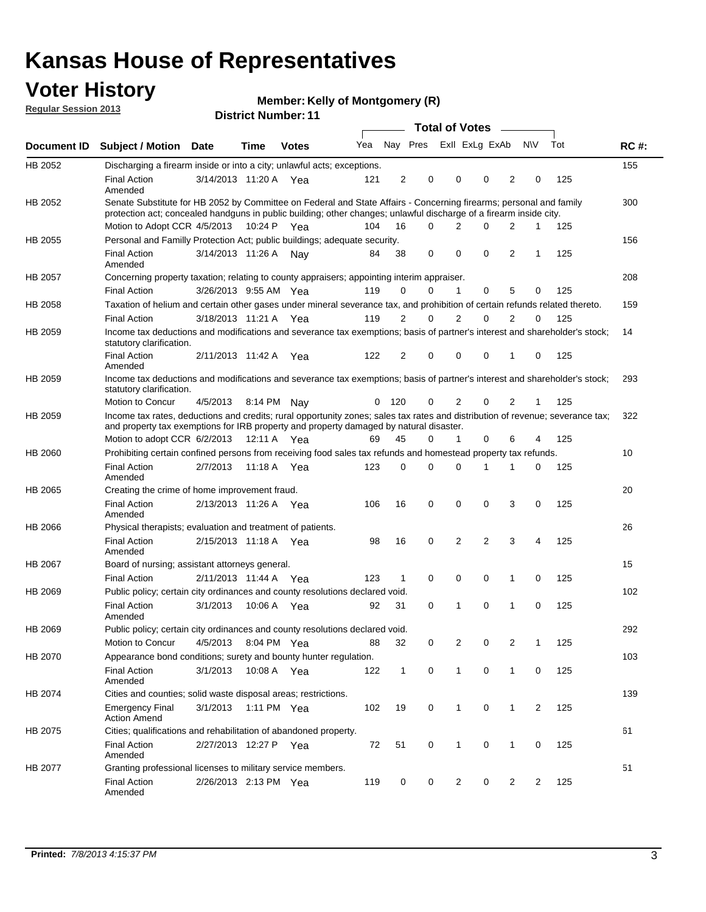### **Voter History**

**Member: Kelly of Montgomery (R)** 

**Regular Session 2013**

|             |                                                                                                                                                                                                                                          |                       |             | <b>DISTRICT MAILINGL.</b> |     |                |                         | Total of Votes – |                |          |                |              |     |             |
|-------------|------------------------------------------------------------------------------------------------------------------------------------------------------------------------------------------------------------------------------------------|-----------------------|-------------|---------------------------|-----|----------------|-------------------------|------------------|----------------|----------|----------------|--------------|-----|-------------|
| Document ID | <b>Subject / Motion</b>                                                                                                                                                                                                                  | <b>Date</b>           | Time        | <b>Votes</b>              | Yea |                | Nay Pres Exll ExLg ExAb |                  |                |          |                | <b>NV</b>    | Tot | <b>RC#:</b> |
| HB 2052     | Discharging a firearm inside or into a city; unlawful acts; exceptions.                                                                                                                                                                  |                       |             |                           |     |                |                         |                  |                |          |                |              |     | 155         |
|             | <b>Final Action</b><br>Amended                                                                                                                                                                                                           | 3/14/2013 11:20 A Yea |             |                           | 121 | 2              | 0                       |                  | 0              | 0        | $\overline{2}$ | 0            | 125 |             |
| HB 2052     | Senate Substitute for HB 2052 by Committee on Federal and State Affairs - Concerning firearms; personal and family<br>protection act; concealed handguns in public building; other changes; unlawful discharge of a firearm inside city. |                       |             |                           |     |                |                         |                  |                |          |                |              |     | 300         |
|             | Motion to Adopt CCR 4/5/2013 10:24 P Yea                                                                                                                                                                                                 |                       |             |                           | 104 | 16             | 0                       |                  | 2              | 0        | 2              | 1            | 125 |             |
| HB 2055     | Personal and Familly Protection Act; public buildings; adequate security.                                                                                                                                                                |                       |             |                           |     |                |                         |                  |                |          |                |              |     | 156         |
|             | <b>Final Action</b><br>Amended                                                                                                                                                                                                           | 3/14/2013 11:26 A     |             | Nav                       | 84  | 38             | 0                       |                  | 0              | 0        | $\overline{2}$ | 1            | 125 |             |
| HB 2057     | Concerning property taxation; relating to county appraisers; appointing interim appraiser.                                                                                                                                               |                       |             |                           |     |                |                         |                  |                |          |                |              |     | 208         |
|             | <b>Final Action</b>                                                                                                                                                                                                                      | 3/26/2013 9:55 AM Yea |             |                           | 119 | 0              | 0                       |                  | 1              | 0        | 5              | 0            | 125 |             |
| HB 2058     | Taxation of helium and certain other gases under mineral severance tax, and prohibition of certain refunds related thereto.                                                                                                              |                       |             |                           |     |                |                         |                  |                |          |                |              |     | 159         |
|             | <b>Final Action</b>                                                                                                                                                                                                                      | 3/18/2013 11:21 A Yea |             |                           | 119 | 2              | 0                       |                  | 2              | 0        | 2              | 0            | 125 |             |
| HB 2059     | Income tax deductions and modifications and severance tax exemptions; basis of partner's interest and shareholder's stock;<br>statutory clarification.                                                                                   |                       |             |                           |     |                |                         |                  |                |          |                |              |     | 14          |
|             | <b>Final Action</b><br>Amended                                                                                                                                                                                                           | 2/11/2013 11:42 A     |             | Yea                       | 122 | $\overline{2}$ | 0                       |                  | 0              | 0        | 1              | 0            | 125 |             |
| HB 2059     | Income tax deductions and modifications and severance tax exemptions; basis of partner's interest and shareholder's stock;<br>statutory clarification.                                                                                   |                       |             |                           |     |                |                         |                  |                |          |                |              |     | 293         |
|             | Motion to Concur                                                                                                                                                                                                                         | 4/5/2013              |             | 8:14 PM Nav               | 0   | 120            | 0                       |                  | $\overline{2}$ | 0        | $\overline{2}$ | $\mathbf{1}$ | 125 |             |
| HB 2059     | Income tax rates, deductions and credits; rural opportunity zones; sales tax rates and distribution of revenue; severance tax;<br>and property tax exemptions for IRB property and property damaged by natural disaster.                 |                       |             |                           |     |                |                         |                  |                |          |                |              |     | 322         |
|             | Motion to adopt CCR 6/2/2013                                                                                                                                                                                                             |                       | 12:11 A Yea |                           | 69  | 45             | 0                       |                  | $\mathbf{1}$   | 0        | 6              | 4            | 125 |             |
| HB 2060     | Prohibiting certain confined persons from receiving food sales tax refunds and homestead property tax refunds.                                                                                                                           |                       |             |                           |     |                |                         |                  |                |          |                |              |     | 10          |
|             | <b>Final Action</b><br>Amended                                                                                                                                                                                                           | 2/7/2013              |             | 11:18 A Yea               | 123 | 0              | 0                       |                  | 0              | 1        | 1              | 0            | 125 |             |
| HB 2065     | Creating the crime of home improvement fraud.                                                                                                                                                                                            |                       |             |                           |     |                |                         |                  |                |          |                |              |     | 20          |
|             | <b>Final Action</b><br>Amended                                                                                                                                                                                                           | 2/13/2013 11:26 A Yea |             |                           | 106 | 16             | 0                       |                  | 0              | 0        | 3              | 0            | 125 |             |
| HB 2066     | Physical therapists; evaluation and treatment of patients.                                                                                                                                                                               |                       |             |                           |     |                |                         |                  |                |          |                |              |     | 26          |
|             | <b>Final Action</b><br>Amended                                                                                                                                                                                                           | 2/15/2013 11:18 A Yea |             |                           | 98  | 16             | 0                       |                  | 2              | 2        | 3              | 4            | 125 |             |
| HB 2067     | Board of nursing; assistant attorneys general.                                                                                                                                                                                           |                       |             |                           |     |                |                         |                  |                |          |                |              |     | 15          |
|             | <b>Final Action</b>                                                                                                                                                                                                                      | 2/11/2013 11:44 A Yea |             |                           | 123 | $\mathbf{1}$   | 0                       |                  | 0              | 0        | 1              | 0            | 125 |             |
| HB 2069     | Public policy; certain city ordinances and county resolutions declared void.                                                                                                                                                             |                       |             |                           |     |                |                         |                  |                |          |                |              |     | 102         |
|             | <b>Final Action</b><br>Amended                                                                                                                                                                                                           | 3/1/2013              | 10:06 A     | Yea                       | 92  | 31             | 0                       |                  | 1              | $\Omega$ | 1              | 0            | 125 |             |
| HB 2069     | Public policy; certain city ordinances and county resolutions declared void.                                                                                                                                                             |                       |             |                           |     |                |                         |                  |                |          |                |              |     | 292         |
|             | Motion to Concur                                                                                                                                                                                                                         | 4/5/2013              |             | 8:04 PM Yea               | 88  | 32             | 0                       |                  | 2              | 0        | 2              | 1            | 125 |             |
| HB 2070     | Appearance bond conditions; surety and bounty hunter regulation.                                                                                                                                                                         |                       |             |                           |     |                |                         |                  |                |          |                |              |     | 103         |
|             | <b>Final Action</b><br>Amended                                                                                                                                                                                                           | 3/1/2013              |             | 10:08 A Yea               | 122 | $\mathbf{1}$   | 0                       |                  | $\mathbf{1}$   | 0        | $\mathbf{1}$   | 0            | 125 |             |
| HB 2074     | Cities and counties; solid waste disposal areas; restrictions.                                                                                                                                                                           |                       |             |                           |     |                |                         |                  |                |          |                |              |     | 139         |
|             | <b>Emergency Final</b><br><b>Action Amend</b>                                                                                                                                                                                            | 3/1/2013              |             | 1:11 PM Yea               | 102 | 19             | 0                       |                  | 1              | 0        | 1              | 2            | 125 |             |
| HB 2075     | Cities; qualifications and rehabilitation of abandoned property.                                                                                                                                                                         |                       |             |                           |     |                |                         |                  |                |          |                |              |     | 61          |
|             | <b>Final Action</b><br>Amended                                                                                                                                                                                                           | 2/27/2013 12:27 P Yea |             |                           | 72  | 51             | 0                       |                  | 1              | 0        | 1              | 0            | 125 |             |
| HB 2077     | Granting professional licenses to military service members.<br>Final Action<br>Amended                                                                                                                                                   | 2/26/2013 2:13 PM Yea |             |                           | 119 | 0              | 0                       |                  | 2              | 0        | 2              | 2            | 125 | 51          |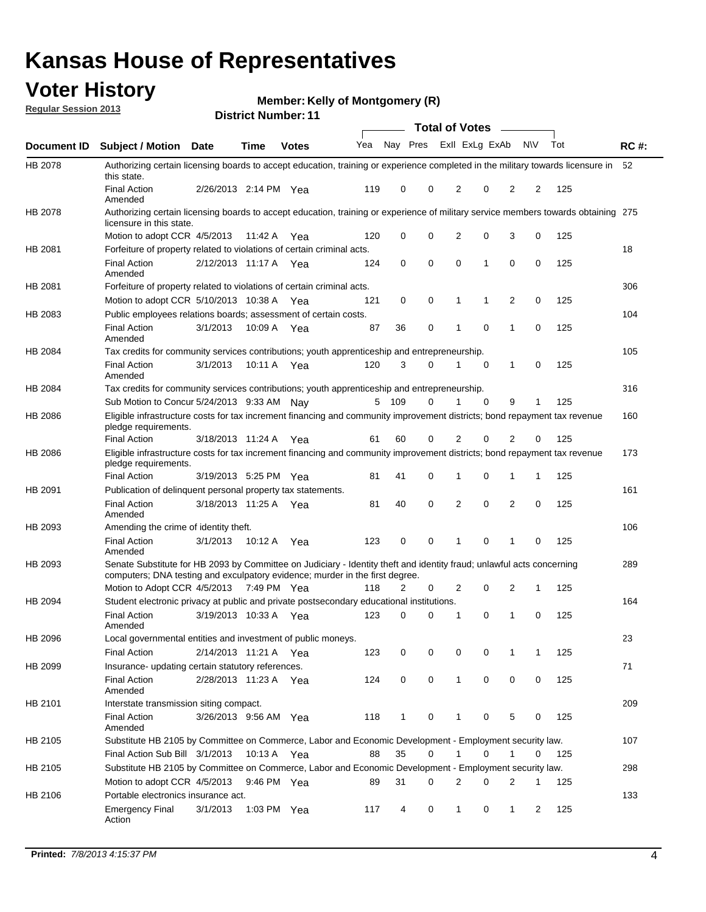### **Voter History**

**Member: Kelly of Montgomery (R)** 

**Regular Session 2013**

|                    |                                                                                                                                                                                                       |                       |             | ו ו השעווואיו איו ואכוש |              |              |   | <b>Total of Votes</b> |             | $\sim$         |             |     |             |
|--------------------|-------------------------------------------------------------------------------------------------------------------------------------------------------------------------------------------------------|-----------------------|-------------|-------------------------|--------------|--------------|---|-----------------------|-------------|----------------|-------------|-----|-------------|
| <b>Document ID</b> | <b>Subject / Motion Date</b>                                                                                                                                                                          |                       | <b>Time</b> | <b>Votes</b>            | Yea Nay Pres |              |   | Exll ExLg ExAb        |             |                | <b>NV</b>   | Tot | <b>RC#:</b> |
| HB 2078            | Authorizing certain licensing boards to accept education, training or experience completed in the military towards licensure in<br>this state.                                                        |                       |             |                         |              |              |   |                       |             |                |             |     | 52          |
|                    | <b>Final Action</b><br>Amended                                                                                                                                                                        | 2/26/2013 2:14 PM Yea |             |                         | 119          | 0            | 0 | 2                     | 0           | 2              | 2           | 125 |             |
| HB 2078            | Authorizing certain licensing boards to accept education, training or experience of military service members towards obtaining 275<br>licensure in this state.                                        |                       |             |                         |              |              |   |                       |             |                |             |     |             |
|                    | Motion to adopt CCR 4/5/2013                                                                                                                                                                          |                       | 11:42 A     | Yea                     | 120          | 0            | 0 | $\overline{2}$        | 0           | 3              | 0           | 125 |             |
| HB 2081            | Forfeiture of property related to violations of certain criminal acts.                                                                                                                                |                       |             |                         |              |              |   |                       |             |                |             |     | 18          |
|                    | <b>Final Action</b><br>Amended                                                                                                                                                                        | 2/12/2013 11:17 A Yea |             |                         | 124          | 0            | 0 | $\Omega$              | 1           | 0              | 0           | 125 |             |
| HB 2081            | Forfeiture of property related to violations of certain criminal acts.                                                                                                                                |                       |             |                         |              |              |   |                       |             |                |             |     | 306         |
|                    | Motion to adopt CCR 5/10/2013 10:38 A                                                                                                                                                                 |                       |             | Yea                     | 121          | 0            | 0 | 1                     | 1           | 2              | 0           | 125 |             |
| HB 2083            | Public employees relations boards; assessment of certain costs.                                                                                                                                       |                       |             |                         |              |              |   |                       |             |                |             |     | 104         |
|                    | <b>Final Action</b><br>Amended                                                                                                                                                                        | 3/1/2013              | 10:09 A     | Yea                     | 87           | 36           | 0 | 1                     | $\mathbf 0$ | 1              | $\mathbf 0$ | 125 |             |
| HB 2084            | Tax credits for community services contributions; youth apprenticeship and entrepreneurship.                                                                                                          |                       |             |                         |              |              |   |                       |             |                |             |     | 105         |
|                    | <b>Final Action</b><br>Amended                                                                                                                                                                        | 3/1/2013              | 10:11 A     | Yea                     | 120          | 3            | 0 | 1                     | $\mathbf 0$ | 1              | 0           | 125 |             |
| HB 2084            | Tax credits for community services contributions; youth apprenticeship and entrepreneurship.                                                                                                          |                       |             |                         |              |              |   |                       |             |                |             |     | 316         |
|                    | Sub Motion to Concur 5/24/2013 9:33 AM Nav                                                                                                                                                            |                       |             |                         | 5            | - 109        | 0 |                       | $\Omega$    | 9              | 1           | 125 |             |
| HB 2086            | Eligible infrastructure costs for tax increment financing and community improvement districts; bond repayment tax revenue<br>pledge requirements.                                                     |                       |             |                         |              |              |   |                       |             |                |             |     | 160         |
|                    | <b>Final Action</b>                                                                                                                                                                                   | 3/18/2013 11:24 A     |             | Yea                     | 61           | 60           | 0 | 2                     | 0           | $\overline{2}$ | 0           | 125 |             |
| HB 2086            | Eligible infrastructure costs for tax increment financing and community improvement districts; bond repayment tax revenue<br>pledge requirements.                                                     |                       |             |                         |              |              |   |                       |             |                |             |     | 173         |
|                    | <b>Final Action</b>                                                                                                                                                                                   | 3/19/2013 5:25 PM Yea |             |                         | 81           | 41           | 0 | 1                     | 0           | 1              | 1           | 125 |             |
| HB 2091            | Publication of delinguent personal property tax statements.                                                                                                                                           |                       |             |                         |              |              |   |                       |             |                |             |     | 161         |
|                    | <b>Final Action</b><br>Amended                                                                                                                                                                        | 3/18/2013 11:25 A     |             | Yea                     | 81           | 40           | 0 | 2                     | 0           | $\overline{2}$ | 0           | 125 |             |
| HB 2093            | Amending the crime of identity theft.                                                                                                                                                                 |                       |             |                         |              |              |   |                       |             |                |             |     | 106         |
|                    | <b>Final Action</b><br>Amended                                                                                                                                                                        | 3/1/2013              | 10:12 A     | Yea                     | 123          | 0            | 0 | 1                     | $\Omega$    | 1              | 0           | 125 |             |
| HB 2093            | Senate Substitute for HB 2093 by Committee on Judiciary - Identity theft and identity fraud; unlawful acts concerning<br>computers; DNA testing and exculpatory evidence; murder in the first degree. |                       |             |                         |              |              |   |                       |             |                |             |     | 289         |
|                    | Motion to Adopt CCR 4/5/2013 7:49 PM Yea                                                                                                                                                              |                       |             |                         | 118          | 2            | 0 | 2                     | 0           | 2              | 1           | 125 |             |
| HB 2094            | Student electronic privacy at public and private postsecondary educational institutions.                                                                                                              |                       |             |                         |              |              |   |                       |             |                |             |     | 164         |
|                    | <b>Final Action</b><br>Amended                                                                                                                                                                        | 3/19/2013 10:33 A     |             | Yea                     | 123          | 0            | 0 | 1                     | 0           | 1              | 0           | 125 |             |
| HB 2096            | Local governmental entities and investment of public moneys.<br><b>Final Action</b>                                                                                                                   | 2/14/2013 11:21 A     |             | Yea                     | 123          | 0            | 0 | 0                     | 0           | 1              | 1           | 125 | 23          |
| HB 2099            | Insurance- updating certain statutory references.                                                                                                                                                     |                       |             |                         |              |              |   |                       |             |                |             |     | 71          |
|                    | <b>Final Action</b><br>Amended                                                                                                                                                                        | 2/28/2013 11:23 A     |             | Yea                     | 124          | 0            | 0 | 1                     | 0           | 0              | 0           | 125 |             |
| HB 2101            | Interstate transmission siting compact.                                                                                                                                                               |                       |             |                         |              |              |   |                       |             |                |             |     | 209         |
|                    | <b>Final Action</b><br>Amended                                                                                                                                                                        | 3/26/2013 9:56 AM Yea |             |                         | 118          | $\mathbf{1}$ | 0 | 1                     | 0           | 5              | 0           | 125 |             |
| HB 2105            | Substitute HB 2105 by Committee on Commerce, Labor and Economic Development - Employment security law.                                                                                                |                       |             |                         |              |              |   |                       |             |                |             |     | 107         |
|                    | Final Action Sub Bill 3/1/2013                                                                                                                                                                        |                       | 10:13 A Yea |                         | 88           | 35           | 0 |                       | 0           | 1              | 0           | 125 |             |
| HB 2105            | Substitute HB 2105 by Committee on Commerce, Labor and Economic Development - Employment security law.                                                                                                |                       |             |                         |              |              |   |                       |             |                |             |     | 298         |
|                    | Motion to adopt CCR 4/5/2013                                                                                                                                                                          |                       | 9:46 PM Yea |                         | 89           | 31           | 0 | 2                     | 0           | 2              | 1           | 125 |             |
| HB 2106            | Portable electronics insurance act.                                                                                                                                                                   |                       |             |                         |              |              |   |                       |             |                |             |     | 133         |
|                    | <b>Emergency Final</b><br>Action                                                                                                                                                                      | 3/1/2013              | 1:03 PM Yea |                         | 117          | 4            | 0 | $\mathbf{1}$          | 0           | $\mathbf{1}$   | 2           | 125 |             |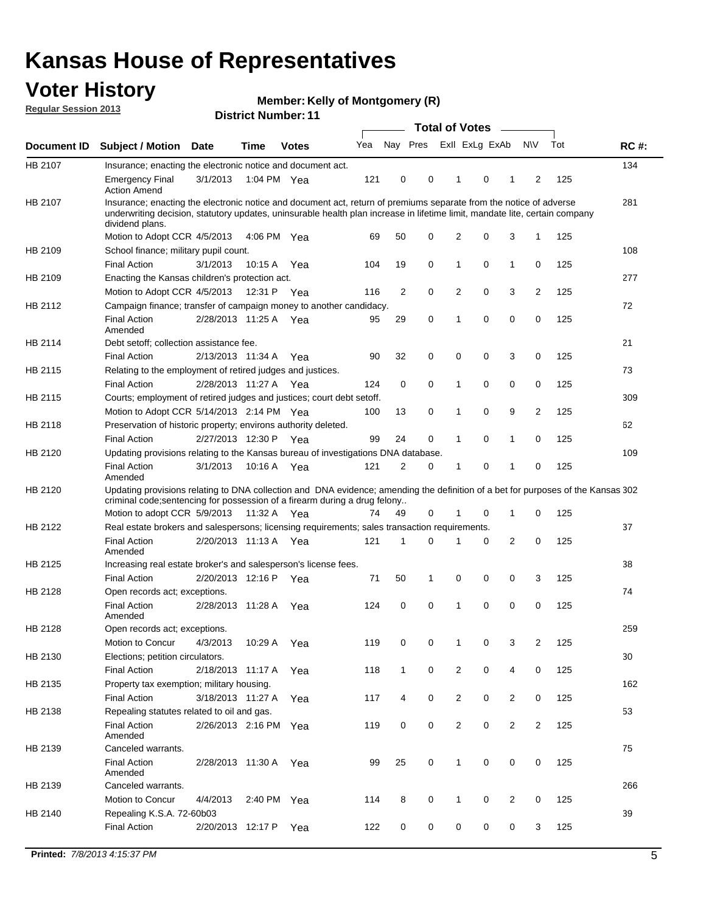### **Voter History**

**Member: Kelly of Montgomery (R)** 

**Regular Session 2013**

|             |                                                                                                                                                                                                                                                                      |                       |             | ו ו וסעוווטנו של הסוש |     |                |             | <b>Total of Votes</b> |   | $\sim$         |                |     |             |
|-------------|----------------------------------------------------------------------------------------------------------------------------------------------------------------------------------------------------------------------------------------------------------------------|-----------------------|-------------|-----------------------|-----|----------------|-------------|-----------------------|---|----------------|----------------|-----|-------------|
| Document ID | <b>Subject / Motion Date</b>                                                                                                                                                                                                                                         |                       | <b>Time</b> | <b>Votes</b>          | Yea | Nay Pres       |             | Exll ExLg ExAb        |   |                | <b>NV</b>      | Tot | <b>RC#:</b> |
| HB 2107     | Insurance; enacting the electronic notice and document act.                                                                                                                                                                                                          |                       |             |                       |     |                |             |                       |   |                |                |     | 134         |
|             | <b>Emergency Final</b><br><b>Action Amend</b>                                                                                                                                                                                                                        | 3/1/2013              | 1:04 PM Yea |                       | 121 | 0              | 0           | 1                     | 0 | 1              | 2              | 125 |             |
| HB 2107     | Insurance; enacting the electronic notice and document act, return of premiums separate from the notice of adverse<br>underwriting decision, statutory updates, uninsurable health plan increase in lifetime limit, mandate lite, certain company<br>dividend plans. |                       |             |                       |     |                |             |                       |   |                |                |     | 281         |
|             | Motion to Adopt CCR 4/5/2013                                                                                                                                                                                                                                         |                       | 4:06 PM Yea |                       | 69  | 50             | 0           | 2                     | 0 | 3              | $\mathbf{1}$   | 125 |             |
| HB 2109     | School finance; military pupil count.                                                                                                                                                                                                                                |                       |             |                       |     |                |             |                       |   |                |                |     | 108         |
|             | <b>Final Action</b>                                                                                                                                                                                                                                                  | 3/1/2013              | 10:15A      | Yea                   | 104 | 19             | 0           | 1                     | 0 | $\mathbf{1}$   | 0              | 125 |             |
| HB 2109     | Enacting the Kansas children's protection act.                                                                                                                                                                                                                       |                       |             |                       |     |                |             |                       |   |                |                |     | 277         |
|             | Motion to Adopt CCR 4/5/2013                                                                                                                                                                                                                                         |                       | 12:31 P Yea |                       | 116 | $\overline{2}$ | 0           | 2                     | 0 | 3              | $\overline{2}$ | 125 |             |
| HB 2112     | Campaign finance; transfer of campaign money to another candidacy.                                                                                                                                                                                                   |                       |             |                       |     |                |             |                       |   |                |                |     | 72          |
|             | <b>Final Action</b><br>Amended                                                                                                                                                                                                                                       | 2/28/2013 11:25 A Yea |             |                       | 95  | 29             | 0           | 1                     | 0 | 0              | 0              | 125 |             |
| HB 2114     | Debt setoff; collection assistance fee.                                                                                                                                                                                                                              |                       |             |                       |     |                |             |                       |   |                |                |     | 21          |
|             | <b>Final Action</b>                                                                                                                                                                                                                                                  | 2/13/2013 11:34 A     |             | Yea                   | 90  | 32             | 0           | 0                     | 0 | 3              | 0              | 125 |             |
| HB 2115     | Relating to the employment of retired judges and justices.                                                                                                                                                                                                           |                       |             |                       |     |                |             |                       |   |                |                |     | 73          |
|             | <b>Final Action</b>                                                                                                                                                                                                                                                  | 2/28/2013 11:27 A     |             | Yea                   | 124 | 0              | $\mathbf 0$ | 1                     | 0 | 0              | 0              | 125 |             |
| HB 2115     | Courts; employment of retired judges and justices; court debt setoff.                                                                                                                                                                                                |                       |             |                       |     |                |             |                       |   |                |                |     | 309         |
|             | Motion to Adopt CCR 5/14/2013 2:14 PM Yea                                                                                                                                                                                                                            |                       |             |                       | 100 | 13             | 0           | 1                     | 0 | 9              | 2              | 125 |             |
| HB 2118     | Preservation of historic property; environs authority deleted.                                                                                                                                                                                                       |                       |             |                       |     |                |             |                       |   |                |                |     | 62          |
|             | <b>Final Action</b>                                                                                                                                                                                                                                                  | 2/27/2013 12:30 P     |             | Yea                   | 99  | 24             | 0           | 1                     | 0 | $\mathbf{1}$   | 0              | 125 |             |
| HB 2120     | Updating provisions relating to the Kansas bureau of investigations DNA database.                                                                                                                                                                                    |                       |             |                       |     |                |             |                       |   |                |                |     | 109         |
|             | <b>Final Action</b><br>Amended                                                                                                                                                                                                                                       | 3/1/2013              | 10:16 A     | Yea                   | 121 | 2              | 0           | 1                     | 0 | 1              | 0              | 125 |             |
| HB 2120     | Updating provisions relating to DNA collection and DNA evidence; amending the definition of a bet for purposes of the Kansas 302<br>criminal code; sentencing for possession of a firearm during a drug felony                                                       |                       |             |                       |     |                |             |                       |   |                |                |     |             |
|             | Motion to adopt CCR 5/9/2013                                                                                                                                                                                                                                         |                       | 11:32 A Yea |                       | 74  | 49             | 0           |                       | 0 | 1              | 0              | 125 |             |
| HB 2122     | Real estate brokers and salespersons; licensing requirements; sales transaction requirements.                                                                                                                                                                        |                       |             |                       |     |                |             |                       |   |                |                |     | 37          |
|             | <b>Final Action</b><br>Amended                                                                                                                                                                                                                                       | 2/20/2013 11:13 A Yea |             |                       | 121 | 1              | $\Omega$    |                       | 0 | 2              | 0              | 125 |             |
| HB 2125     | Increasing real estate broker's and salesperson's license fees.                                                                                                                                                                                                      |                       |             |                       |     |                |             |                       |   |                |                |     | 38          |
|             | <b>Final Action</b>                                                                                                                                                                                                                                                  | 2/20/2013 12:16 P     |             | Yea                   | 71  | 50             | 1           | 0                     | 0 | 0              | 3              | 125 |             |
| HB 2128     | Open records act; exceptions.                                                                                                                                                                                                                                        |                       |             |                       |     |                |             |                       |   |                |                |     | 74          |
|             | <b>Final Action</b><br>Amended                                                                                                                                                                                                                                       | 2/28/2013 11:28 A     |             | Yea                   | 124 | 0              | 0           | 1                     | 0 | 0              | 0              | 125 |             |
| HB 2128     | Open records act; exceptions.                                                                                                                                                                                                                                        |                       |             |                       |     |                |             |                       |   |                |                |     | 259         |
|             | Motion to Concur                                                                                                                                                                                                                                                     | 4/3/2013              | 10:29 A     | Yea                   | 119 | 0              | 0           | 1                     | 0 | 3              | $\overline{2}$ | 125 |             |
| HB 2130     | Elections; petition circulators.                                                                                                                                                                                                                                     |                       |             |                       |     |                |             |                       |   |                |                |     | 30          |
|             | <b>Final Action</b>                                                                                                                                                                                                                                                  | 2/18/2013 11:17 A     |             | Yea                   | 118 | $\mathbf{1}$   | 0           | $\overline{c}$        | 0 | 4              | 0              | 125 |             |
| HB 2135     | Property tax exemption; military housing.                                                                                                                                                                                                                            |                       |             |                       |     |                |             |                       |   |                |                |     | 162         |
|             | <b>Final Action</b>                                                                                                                                                                                                                                                  | 3/18/2013 11:27 A     |             | Yea                   | 117 | 4              | 0           | $\overline{c}$        | 0 | $\overline{2}$ | 0              | 125 |             |
| HB 2138     | Repealing statutes related to oil and gas.                                                                                                                                                                                                                           |                       |             |                       |     |                |             |                       |   |                |                |     | 53          |
|             | <b>Final Action</b><br>Amended                                                                                                                                                                                                                                       | 2/26/2013 2:16 PM Yea |             |                       | 119 | 0              | 0           | 2                     | 0 | $\overline{2}$ | 2              | 125 |             |
| HB 2139     | Canceled warrants.                                                                                                                                                                                                                                                   |                       |             |                       |     |                |             |                       |   |                |                |     | 75          |
|             | <b>Final Action</b><br>Amended                                                                                                                                                                                                                                       | 2/28/2013 11:30 A     |             | Yea                   | 99  | 25             | 0           | 1                     | 0 | 0              | 0              | 125 |             |
| HB 2139     | Canceled warrants.                                                                                                                                                                                                                                                   |                       |             |                       |     |                |             |                       |   |                |                |     | 266         |
|             | Motion to Concur                                                                                                                                                                                                                                                     | 4/4/2013              | 2:40 PM     | Yea                   | 114 | 8              | 0           | 1                     | 0 | 2              | 0              | 125 |             |
| HB 2140     | Repealing K.S.A. 72-60b03                                                                                                                                                                                                                                            |                       |             |                       |     |                |             |                       |   |                |                |     | 39          |
|             | <b>Final Action</b>                                                                                                                                                                                                                                                  | 2/20/2013 12:17 P     |             | Yea                   | 122 | 0              | 0           | 0                     | 0 | 0              | 3              | 125 |             |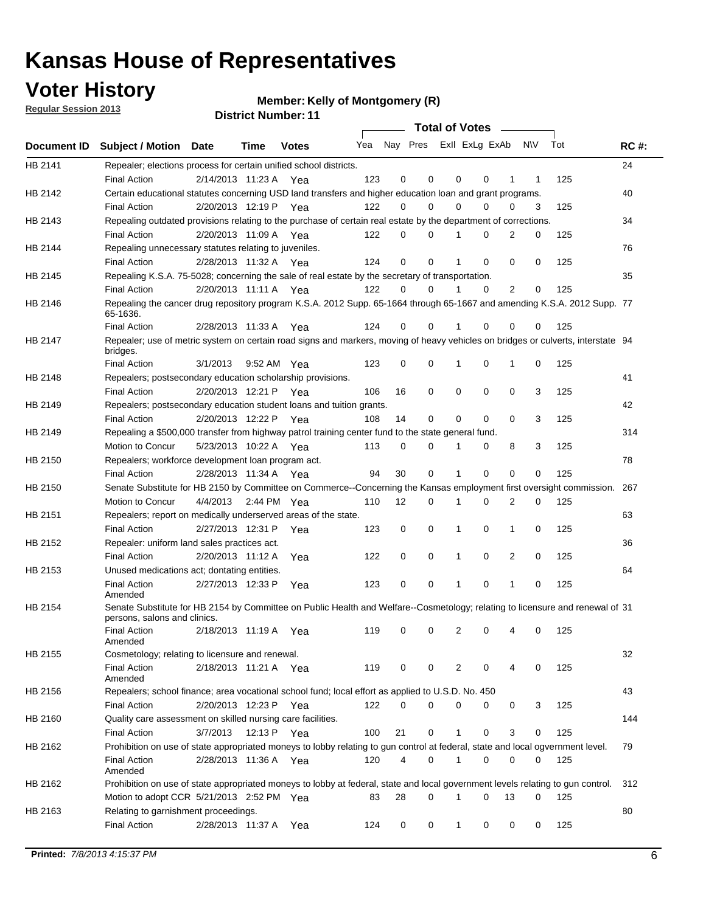### **Voter History**

**Member: Kelly of Montgomery (R)** 

**Regular Session 2013**

|             |                                                                                                                                              |          |                       |              |     |             | <b>Total of Votes</b>   |              |   | $\sim 100$ m $^{-1}$ |           |     |             |
|-------------|----------------------------------------------------------------------------------------------------------------------------------------------|----------|-----------------------|--------------|-----|-------------|-------------------------|--------------|---|----------------------|-----------|-----|-------------|
| Document ID | <b>Subject / Motion Date</b>                                                                                                                 |          | Time                  | <b>Votes</b> | Yea |             | Nay Pres ExII ExLg ExAb |              |   |                      | <b>NV</b> | Tot | <b>RC#:</b> |
| HB 2141     | Repealer; elections process for certain unified school districts.                                                                            |          |                       |              |     |             |                         |              |   |                      |           |     | 24          |
|             | <b>Final Action</b>                                                                                                                          |          | 2/14/2013 11:23 A Yea |              | 123 | 0           | 0                       | 0            | 0 | 1                    | 1         | 125 |             |
| HB 2142     | Certain educational statutes concerning USD land transfers and higher education loan and grant programs.                                     |          |                       |              |     |             |                         |              |   |                      |           |     | 40          |
|             | <b>Final Action</b>                                                                                                                          |          | 2/20/2013 12:19 P Yea |              | 122 | 0           | 0                       | 0            | 0 | $\Omega$             | 3         | 125 |             |
| HB 2143     | Repealing outdated provisions relating to the purchase of certain real estate by the department of corrections.                              |          |                       |              |     |             |                         |              |   |                      |           |     | 34          |
|             | <b>Final Action</b>                                                                                                                          |          | 2/20/2013 11:09 A Yea |              | 122 | 0           | 0                       | 1            | 0 | $\overline{2}$       | 0         | 125 |             |
| HB 2144     | Repealing unnecessary statutes relating to juveniles.                                                                                        |          |                       |              |     |             |                         |              |   |                      |           |     | 76          |
|             | <b>Final Action</b>                                                                                                                          |          | 2/28/2013 11:32 A Yea |              | 124 | $\mathbf 0$ | 0                       | 1            | 0 | 0                    | 0         | 125 |             |
| HB 2145     | Repealing K.S.A. 75-5028; concerning the sale of real estate by the secretary of transportation.                                             |          |                       |              |     |             |                         |              |   |                      |           |     | 35          |
|             | <b>Final Action</b>                                                                                                                          |          | 2/20/2013 11:11 A Yea |              | 122 | 0           | 0                       | 1            | 0 | 2                    | 0         | 125 |             |
| HB 2146     | Repealing the cancer drug repository program K.S.A. 2012 Supp. 65-1664 through 65-1667 and amending K.S.A. 2012 Supp. 77<br>65-1636.         |          |                       |              |     |             |                         |              |   |                      |           |     |             |
|             | <b>Final Action</b>                                                                                                                          |          | 2/28/2013 11:33 A     | Yea          | 124 | 0           | 0                       | 1            | 0 | 0                    | 0         | 125 |             |
| HB 2147     | Repealer; use of metric system on certain road signs and markers, moving of heavy vehicles on bridges or culverts, interstate 94<br>bridges. |          |                       |              |     |             |                         |              |   |                      |           |     |             |
|             | <b>Final Action</b>                                                                                                                          | 3/1/2013 |                       | 9:52 AM Yea  | 123 | $\mathbf 0$ | 0                       |              | 0 | 1                    | 0         | 125 |             |
| HB 2148     | Repealers; postsecondary education scholarship provisions.                                                                                   |          |                       |              |     |             |                         |              |   |                      |           |     | 41          |
|             | <b>Final Action</b>                                                                                                                          |          | 2/20/2013 12:21 P     | Yea          | 106 | 16          | 0                       | $\mathbf 0$  | 0 | $\mathbf 0$          | 3         | 125 |             |
| HB 2149     | Repealers; postsecondary education student loans and tuition grants.                                                                         |          |                       |              |     |             |                         |              |   |                      |           |     | 42          |
|             | <b>Final Action</b>                                                                                                                          |          | 2/20/2013 12:22 P     | Yea          | 108 | 14          | 0                       | 0            | 0 | $\Omega$             | 3         | 125 |             |
| HB 2149     | Repealing a \$500,000 transfer from highway patrol training center fund to the state general fund.                                           |          |                       |              |     |             |                         |              |   |                      |           |     | 314         |
|             | Motion to Concur                                                                                                                             |          | 5/23/2013 10:22 A Yea |              | 113 | 0           | 0                       |              | 0 | 8                    | 3         | 125 |             |
| HB 2150     | Repealers; workforce development loan program act.                                                                                           |          |                       |              |     |             |                         |              |   |                      |           |     | 78          |
|             | <b>Final Action</b>                                                                                                                          |          | 2/28/2013 11:34 A Yea |              | 94  | 30          | 0                       | 1            | 0 | 0                    | 0         | 125 |             |
| HB 2150     | Senate Substitute for HB 2150 by Committee on Commerce--Concerning the Kansas employment first oversight commission.                         |          |                       |              |     |             |                         |              |   |                      |           |     | 267         |
|             | Motion to Concur                                                                                                                             |          | 4/4/2013 2:44 PM Yea  |              | 110 | 12          | 0                       | 1            | 0 | 2                    | 0         | 125 |             |
| HB 2151     | Repealers; report on medically underserved areas of the state.                                                                               |          |                       |              |     |             |                         |              |   |                      |           |     | 63          |
|             | <b>Final Action</b>                                                                                                                          |          | 2/27/2013 12:31 P     | Yea          | 123 | 0           | 0                       | 1            | 0 | 1                    | 0         | 125 |             |
| HB 2152     | Repealer: uniform land sales practices act.                                                                                                  |          |                       |              |     |             |                         |              |   |                      |           |     | 36          |
|             | <b>Final Action</b>                                                                                                                          |          | 2/20/2013 11:12 A     | Yea          | 122 | 0           | 0                       | 1            | 0 | 2                    | 0         | 125 |             |
| HB 2153     | Unused medications act; dontating entities.                                                                                                  |          |                       |              |     |             |                         |              |   |                      |           |     | 64          |
|             | <b>Final Action</b><br>Amended                                                                                                               |          | 2/27/2013 12:33 P     | Yea          | 123 | 0           | 0                       | 1            | 0 | $\mathbf{1}$         | 0         | 125 |             |
| HB 2154     | Senate Substitute for HB 2154 by Committee on Public Health and Welfare--Cosmetology; relating to licensure and renewal of 31                |          |                       |              |     |             |                         |              |   |                      |           |     |             |
|             | persons, salons and clinics.                                                                                                                 |          |                       |              |     |             |                         |              |   |                      |           |     |             |
|             | <b>Final Action</b><br>Amended                                                                                                               |          | 2/18/2013 11:19 A     | Yea          | 119 | 0           | 0                       | 2            | 0 | 4                    | 0         | 125 |             |
| HB 2155     | Cosmetology; relating to licensure and renewal.                                                                                              |          |                       |              |     |             |                         |              |   |                      |           |     | 32          |
|             | <b>Final Action</b>                                                                                                                          |          | 2/18/2013 11:21 A Yea |              | 119 | 0           | 0                       | 2            | 0 |                      | 0         | 125 |             |
| HB 2156     | Amended<br>Repealers; school finance; area vocational school fund; local effort as applied to U.S.D. No. 450                                 |          |                       |              |     |             |                         |              |   |                      |           |     | 43          |
|             |                                                                                                                                              |          |                       |              |     |             |                         |              |   |                      |           |     |             |
|             | <b>Final Action</b>                                                                                                                          |          | 2/20/2013 12:23 P Yea |              | 122 | 0           | 0                       | 0            | 0 | 0                    | 3         | 125 |             |
| HB 2160     | Quality care assessment on skilled nursing care facilities.                                                                                  |          |                       |              |     |             |                         |              |   |                      |           |     | 144         |
|             | <b>Final Action</b>                                                                                                                          | 3/7/2013 |                       | 12:13 P Yea  | 100 | 21          | 0                       | 1            | 0 | 3                    | 0         | 125 |             |
| HB 2162     | Prohibition on use of state appropriated moneys to lobby relating to gun control at federal, state and local ogvernment level.               |          |                       |              |     |             |                         |              |   |                      |           |     | 79          |
|             | <b>Final Action</b><br>Amended                                                                                                               |          | 2/28/2013 11:36 A Yea |              | 120 | 4           | 0                       | 1            | 0 | 0                    | 0         | 125 |             |
| HB 2162     | Prohibition on use of state appropriated moneys to lobby at federal, state and local government levels relating to gun control.              |          |                       |              |     |             |                         |              |   |                      |           |     | 312         |
|             | Motion to adopt CCR 5/21/2013 2:52 PM Yea                                                                                                    |          |                       |              | 83  | 28          | 0                       |              | 0 | 13                   | 0         | 125 |             |
| HB 2163     | Relating to garnishment proceedings.                                                                                                         |          |                       |              |     |             |                         |              |   |                      |           |     | 80          |
|             | <b>Final Action</b>                                                                                                                          |          | 2/28/2013 11:37 A Yea |              | 124 | 0           | 0                       | $\mathbf{1}$ | 0 | 0                    | 0         | 125 |             |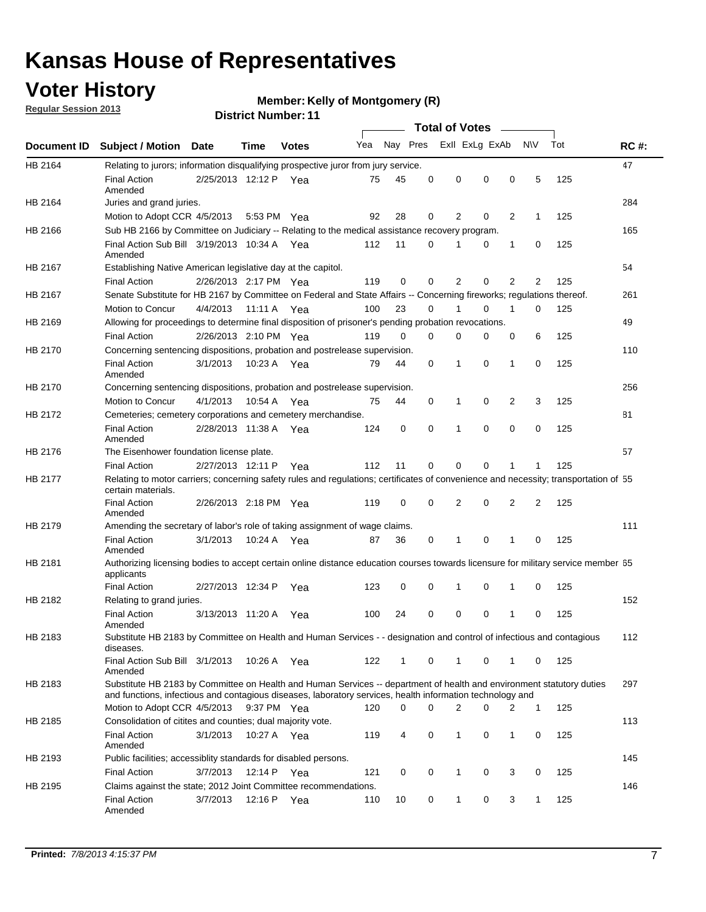### **Voter History**

**Member: Kelly of Montgomery (R)** 

**Regular Session 2013**

|             |                                                                                                                                                                                                                                    |                       |         | <b>DISTRICT NUMBER</b> : 11 |     |              |          | <b>Total of Votes</b> |                |                |              |     |             |
|-------------|------------------------------------------------------------------------------------------------------------------------------------------------------------------------------------------------------------------------------------|-----------------------|---------|-----------------------------|-----|--------------|----------|-----------------------|----------------|----------------|--------------|-----|-------------|
| Document ID | <b>Subject / Motion</b>                                                                                                                                                                                                            | <b>Date</b>           | Time    | <b>Votes</b>                | Yea | Nay Pres     |          |                       | Exll ExLg ExAb | $\sim$         | <b>NV</b>    | Tot | <b>RC#:</b> |
| HB 2164     | Relating to jurors; information disqualifying prospective juror from jury service.                                                                                                                                                 |                       |         |                             |     |              |          |                       |                |                |              |     | 47          |
|             | <b>Final Action</b><br>Amended                                                                                                                                                                                                     | 2/25/2013 12:12 P Yea |         |                             | 75  | 45           | 0        | 0                     | 0              | 0              | 5            | 125 |             |
| HB 2164     | Juries and grand juries.                                                                                                                                                                                                           |                       |         |                             |     |              |          |                       |                |                |              |     | 284         |
|             | Motion to Adopt CCR 4/5/2013                                                                                                                                                                                                       |                       | 5:53 PM | Yea                         | 92  | 28           | 0        | 2                     | 0              | 2              | 1            | 125 |             |
| HB 2166     | Sub HB 2166 by Committee on Judiciary -- Relating to the medical assistance recovery program.                                                                                                                                      |                       |         |                             |     |              |          |                       |                |                |              |     | 165         |
|             | Final Action Sub Bill 3/19/2013 10:34 A<br>Amended                                                                                                                                                                                 |                       |         | Yea                         | 112 | 11           | 0        | 1                     | 0              | 1              | 0            | 125 |             |
| HB 2167     | Establishing Native American legislative day at the capitol.                                                                                                                                                                       |                       |         |                             |     |              |          |                       |                |                |              |     | 54          |
|             | <b>Final Action</b>                                                                                                                                                                                                                | 2/26/2013 2:17 PM Yea |         |                             | 119 | 0            | $\Omega$ | 2                     | 0              | 2              | 2            | 125 |             |
| HB 2167     | Senate Substitute for HB 2167 by Committee on Federal and State Affairs -- Concerning fireworks; regulations thereof.                                                                                                              |                       |         |                             |     |              |          |                       |                |                |              |     | 261         |
|             | Motion to Concur                                                                                                                                                                                                                   | 4/4/2013              |         | 11:11 A Yea                 | 100 | 23           | 0        | 1                     | 0              | $\mathbf 1$    | 0            | 125 |             |
| HB 2169     | Allowing for proceedings to determine final disposition of prisoner's pending probation revocations.                                                                                                                               |                       |         |                             |     |              |          |                       |                |                |              |     | 49          |
|             | <b>Final Action</b>                                                                                                                                                                                                                | 2/26/2013 2:10 PM Yea |         |                             | 119 | 0            | $\Omega$ | 0                     | 0              | 0              | 6            | 125 |             |
| HB 2170     | Concerning sentencing dispositions, probation and postrelease supervision.                                                                                                                                                         |                       |         |                             |     |              |          |                       |                |                |              |     | 110         |
|             | <b>Final Action</b><br>Amended                                                                                                                                                                                                     | 3/1/2013              |         | 10:23 A Yea                 | 79  | 44           | 0        | 1                     | 0              | 1              | 0            | 125 |             |
| HB 2170     | Concerning sentencing dispositions, probation and postrelease supervision.                                                                                                                                                         |                       |         |                             |     |              |          |                       |                |                |              |     | 256         |
|             | <b>Motion to Concur</b>                                                                                                                                                                                                            | 4/1/2013              | 10:54 A | Yea                         | 75  | 44           | 0        | 1                     | 0              | $\overline{2}$ | 3            | 125 |             |
| HB 2172     | Cemeteries; cemetery corporations and cemetery merchandise.                                                                                                                                                                        |                       |         |                             |     |              |          |                       |                |                |              |     | 81          |
|             | <b>Final Action</b><br>Amended                                                                                                                                                                                                     | 2/28/2013 11:38 A Yea |         |                             | 124 | 0            | $\Omega$ | 1                     | $\Omega$       | $\Omega$       | 0            | 125 |             |
| HB 2176     | The Eisenhower foundation license plate.                                                                                                                                                                                           |                       |         |                             |     |              |          |                       |                |                |              |     | 57          |
|             | <b>Final Action</b>                                                                                                                                                                                                                | 2/27/2013 12:11 P     |         | Yea                         | 112 | 11           | 0        | 0                     | 0              | 1              | 1            | 125 |             |
| HB 2177     | Relating to motor carriers; concerning safety rules and regulations; certificates of convenience and necessity; transportation of 55<br>certain materials.                                                                         |                       |         |                             |     |              |          |                       |                |                |              |     |             |
|             | <b>Final Action</b><br>Amended                                                                                                                                                                                                     | 2/26/2013 2:18 PM Yea |         |                             | 119 | 0            | 0        | 2                     | 0              | $\overline{2}$ | 2            | 125 |             |
| HB 2179     | Amending the secretary of labor's role of taking assignment of wage claims.                                                                                                                                                        |                       |         |                             |     |              |          |                       |                |                |              |     | 111         |
|             | <b>Final Action</b><br>Amended                                                                                                                                                                                                     | 3/1/2013              | 10:24 A | Yea                         | 87  | 36           | 0        | 1                     | 0              | 1              | 0            | 125 |             |
| HB 2181     | Authorizing licensing bodies to accept certain online distance education courses towards licensure for military service member 55<br>applicants                                                                                    |                       |         |                             |     |              |          |                       |                |                |              |     |             |
|             | <b>Final Action</b>                                                                                                                                                                                                                | 2/27/2013 12:34 P     |         | Yea                         | 123 | 0            | 0        | 1                     | 0              | 1              | 0            | 125 |             |
| HB 2182     | Relating to grand juries.                                                                                                                                                                                                          |                       |         |                             |     |              |          |                       |                |                |              |     | 152         |
|             | <b>Final Action</b><br>Amended                                                                                                                                                                                                     | 3/13/2013 11:20 A     |         | Yea                         | 100 | 24           | 0        | 0                     | 0              | 1              | 0            | 125 |             |
| HB 2183     | Substitute HB 2183 by Committee on Health and Human Services - - designation and control of infectious and contagious<br>diseases.                                                                                                 |                       |         |                             |     |              |          |                       |                |                |              |     | 112         |
|             | Final Action Sub Bill 3/1/2013<br>Amended                                                                                                                                                                                          |                       | 10:26 A | Yea                         | 122 | $\mathbf{1}$ | 0        | $\mathbf{1}$          | 0              | 1              | 0            | 125 |             |
| HB 2183     | Substitute HB 2183 by Committee on Health and Human Services -- department of health and environment statutory duties<br>and functions, infectious and contagious diseases, laboratory services, health information technology and |                       |         |                             |     |              |          |                       |                |                |              |     | 297         |
|             | Motion to Adopt CCR 4/5/2013                                                                                                                                                                                                       |                       |         | 9:37 PM Yea                 | 120 | 0            | $\Omega$ | 2                     | 0              | 2              | 1            | 125 |             |
| HB 2185     | Consolidation of citites and counties; dual majority vote.                                                                                                                                                                         |                       |         |                             |     |              |          |                       |                |                |              |     | 113         |
|             | <b>Final Action</b><br>Amended                                                                                                                                                                                                     | 3/1/2013              |         | 10:27 A Yea                 | 119 | 4            | 0        | $\mathbf{1}$          | 0              | 1              | 0            | 125 |             |
| HB 2193     | Public facilities; accessiblity standards for disabled persons.                                                                                                                                                                    |                       |         |                             |     |              |          |                       |                |                |              |     | 145         |
|             | <b>Final Action</b>                                                                                                                                                                                                                | 3/7/2013              | 12:14 P | Yea                         | 121 | 0            | 0        | $\mathbf{1}$          | 0              | 3              | 0            | 125 |             |
| HB 2195     | Claims against the state; 2012 Joint Committee recommendations.                                                                                                                                                                    |                       |         |                             |     |              |          |                       |                |                |              |     | 146         |
|             | <b>Final Action</b><br>Amended                                                                                                                                                                                                     | 3/7/2013              | 12:16 P | Yea                         | 110 | 10           | 0        | $\mathbf{1}$          | 0              | 3              | $\mathbf{1}$ | 125 |             |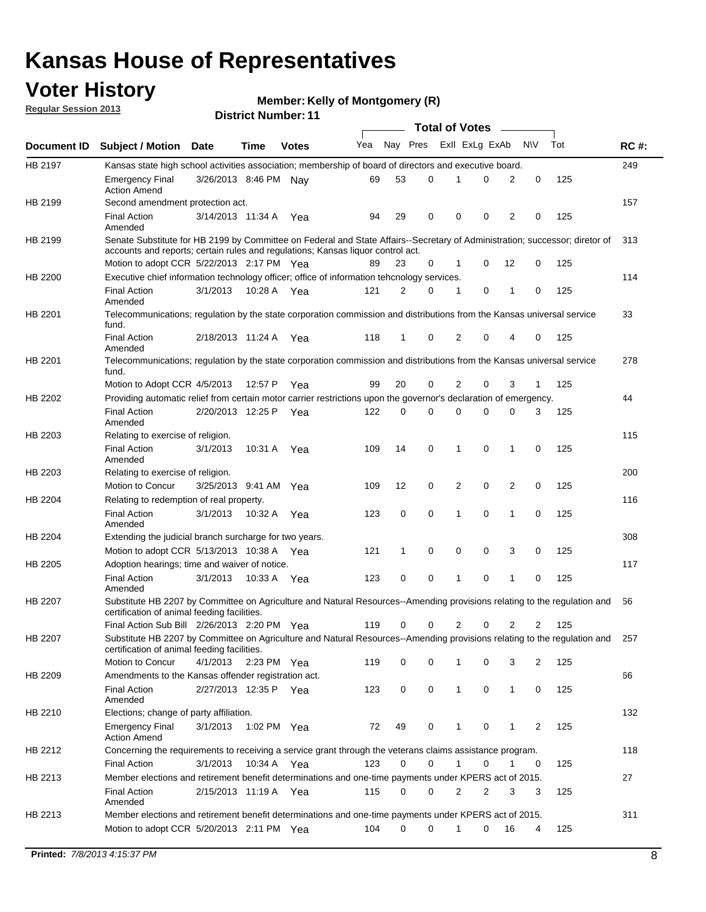### **Voter History**

**Member: Kelly of Montgomery (R)** 

**Regular Session 2013**

|                |                                                                                                                                                                                                                |                       |             |              |     |          |   | <b>Total of Votes</b> |   |                |              |     |             |
|----------------|----------------------------------------------------------------------------------------------------------------------------------------------------------------------------------------------------------------|-----------------------|-------------|--------------|-----|----------|---|-----------------------|---|----------------|--------------|-----|-------------|
| Document ID    | <b>Subject / Motion Date</b>                                                                                                                                                                                   |                       | Time        | <b>Votes</b> | Yea | Nay Pres |   | Exll ExLg ExAb        |   |                | <b>NV</b>    | Tot | <b>RC#:</b> |
| <b>HB 2197</b> | Kansas state high school activities association; membership of board of directors and executive board.                                                                                                         |                       |             |              |     |          |   |                       |   |                |              |     | 249         |
|                | <b>Emergency Final</b><br><b>Action Amend</b>                                                                                                                                                                  | 3/26/2013 8:46 PM Nay |             |              | 69  | 53       | 0 |                       | 0 | 2              | 0            | 125 |             |
| HB 2199        | Second amendment protection act.                                                                                                                                                                               |                       |             |              |     |          |   |                       |   |                |              |     | 157         |
|                | <b>Final Action</b><br>Amended                                                                                                                                                                                 | 3/14/2013 11:34 A     |             | Yea          | 94  | 29       | 0 | 0                     | 0 | 2              | 0            | 125 |             |
| HB 2199        | Senate Substitute for HB 2199 by Committee on Federal and State Affairs--Secretary of Administration; successor; diretor of<br>accounts and reports; certain rules and regulations; Kansas liguor control act. |                       |             |              |     |          |   |                       |   |                |              |     | 313         |
|                | Motion to adopt CCR 5/22/2013 2:17 PM Yea                                                                                                                                                                      |                       |             |              | 89  | 23       | 0 | 1                     | 0 | 12             | 0            | 125 |             |
| HB 2200        | Executive chief information technology officer; office of information tehcnology services.                                                                                                                     |                       |             |              |     |          |   |                       |   |                |              |     | 114         |
|                | <b>Final Action</b><br>Amended                                                                                                                                                                                 | 3/1/2013              | 10:28 A     | Yea          | 121 | 2        | 0 | 1                     | 0 | 1              | 0            | 125 |             |
| HB 2201        | Telecommunications; regulation by the state corporation commission and distributions from the Kansas universal service<br>fund.                                                                                |                       |             |              |     |          |   |                       |   |                |              |     | 33          |
|                | <b>Final Action</b><br>Amended                                                                                                                                                                                 | 2/18/2013 11:24 A Yea |             |              | 118 | 1        | 0 | 2                     | 0 | 4              | 0            | 125 |             |
| HB 2201        | Telecommunications; regulation by the state corporation commission and distributions from the Kansas universal service<br>fund.                                                                                |                       |             |              |     |          |   |                       |   |                |              |     | 278         |
|                | Motion to Adopt CCR 4/5/2013                                                                                                                                                                                   |                       | 12:57 P     | Yea          | 99  | 20       | 0 | 2                     | 0 | 3              | $\mathbf{1}$ | 125 |             |
| HB 2202        | Providing automatic relief from certain motor carrier restrictions upon the governor's declaration of emergency.                                                                                               |                       |             |              |     |          |   |                       |   |                |              |     | 44          |
|                | <b>Final Action</b><br>Amended                                                                                                                                                                                 | 2/20/2013 12:25 P     |             | Yea          | 122 | 0        | 0 | 0                     | 0 | 0              | 3            | 125 |             |
| HB 2203        | Relating to exercise of religion.                                                                                                                                                                              |                       |             |              |     |          |   |                       |   |                |              |     | 115         |
|                | <b>Final Action</b><br>Amended                                                                                                                                                                                 | 3/1/2013              |             | 10:31 A Yea  | 109 | 14       | 0 | 1                     | 0 | 1              | 0            | 125 |             |
| HB 2203        | Relating to exercise of religion.                                                                                                                                                                              |                       |             |              |     |          |   |                       |   |                |              |     | 200         |
|                | Motion to Concur                                                                                                                                                                                               | 3/25/2013 9:41 AM     |             | Yea          | 109 | 12       | 0 | 2                     | 0 | 2              | 0            | 125 |             |
| HB 2204        | Relating to redemption of real property.                                                                                                                                                                       |                       |             |              |     |          |   |                       |   |                |              |     | 116         |
|                | <b>Final Action</b><br>Amended                                                                                                                                                                                 | 3/1/2013              | 10:32 A     | Yea          | 123 | 0        | 0 | 1                     | 0 | 1              | 0            | 125 |             |
| HB 2204        | Extending the judicial branch surcharge for two years.                                                                                                                                                         |                       |             |              |     |          |   |                       |   |                |              |     | 308         |
|                | Motion to adopt CCR 5/13/2013 10:38 A                                                                                                                                                                          |                       |             | Yea          | 121 | 1        | 0 | 0                     | 0 | 3              | 0            | 125 |             |
| HB 2205        | Adoption hearings; time and waiver of notice.                                                                                                                                                                  |                       |             |              |     |          |   |                       |   |                |              |     | 117         |
|                | <b>Final Action</b><br>Amended                                                                                                                                                                                 | 3/1/2013              | 10:33 A     | Yea          | 123 | 0        | 0 | 1                     | 0 | 1              | 0            | 125 |             |
| HB 2207        | Substitute HB 2207 by Committee on Agriculture and Natural Resources--Amending provisions relating to the regulation and<br>certification of animal feeding facilities.                                        |                       |             |              |     |          |   |                       |   |                |              |     | 56          |
|                | Final Action Sub Bill 2/26/2013 2:20 PM Yea                                                                                                                                                                    |                       |             |              | 119 | 0        | 0 | 2                     | 0 | $\overline{2}$ | 2            | 125 |             |
| HB 2207        | Substitute HB 2207 by Committee on Agriculture and Natural Resources--Amending provisions relating to the regulation and 257<br>certification of animal feeding facilities.                                    |                       |             |              |     |          |   |                       |   |                |              |     |             |
|                | Motion to Concur                                                                                                                                                                                               | 4/1/2013              | 2:23 PM Yea |              | 119 | 0        | 0 | 1                     | 0 | 3              | 2            | 125 |             |
| HB 2209        | Amendments to the Kansas offender registration act.                                                                                                                                                            |                       |             |              |     |          |   |                       |   |                |              |     | 66          |
|                | <b>Final Action</b><br>Amended                                                                                                                                                                                 | 2/27/2013 12:35 P Yea |             |              | 123 | 0        | 0 | $\mathbf{1}$          | 0 | $\mathbf{1}$   | 0            | 125 |             |
| HB 2210        | Elections; change of party affiliation.                                                                                                                                                                        |                       |             |              |     |          |   |                       |   |                |              |     | 132         |
|                | <b>Emergency Final</b><br><b>Action Amend</b>                                                                                                                                                                  | 3/1/2013              | 1:02 PM Yea |              | 72  | 49       | 0 | 1                     | 0 | 1              | 2            | 125 |             |
| HB 2212        | Concerning the requirements to receiving a service grant through the veterans claims assistance program.                                                                                                       |                       |             |              |     |          |   |                       |   |                |              |     | 118         |
|                | <b>Final Action</b>                                                                                                                                                                                            | 3/1/2013              | 10:34 A Yea |              | 123 | 0        | 0 | $\mathbf{1}$          | 0 | 1              | 0            | 125 |             |
| HB 2213        | Member elections and retirement benefit determinations and one-time payments under KPERS act of 2015.                                                                                                          |                       |             |              |     |          |   |                       |   |                |              |     | 27          |
|                | <b>Final Action</b><br>Amended                                                                                                                                                                                 | 2/15/2013 11:19 A Yea |             |              | 115 | 0        | 0 | 2                     | 2 | 3              | 3            | 125 |             |
| HB 2213        | Member elections and retirement benefit determinations and one-time payments under KPERS act of 2015.<br>Motion to adopt CCR 5/20/2013 2:11 PM Yea                                                             |                       |             |              | 104 | 0        | 0 | 1                     | 0 | 16             | 4            | 125 | 311         |
|                |                                                                                                                                                                                                                |                       |             |              |     |          |   |                       |   |                |              |     |             |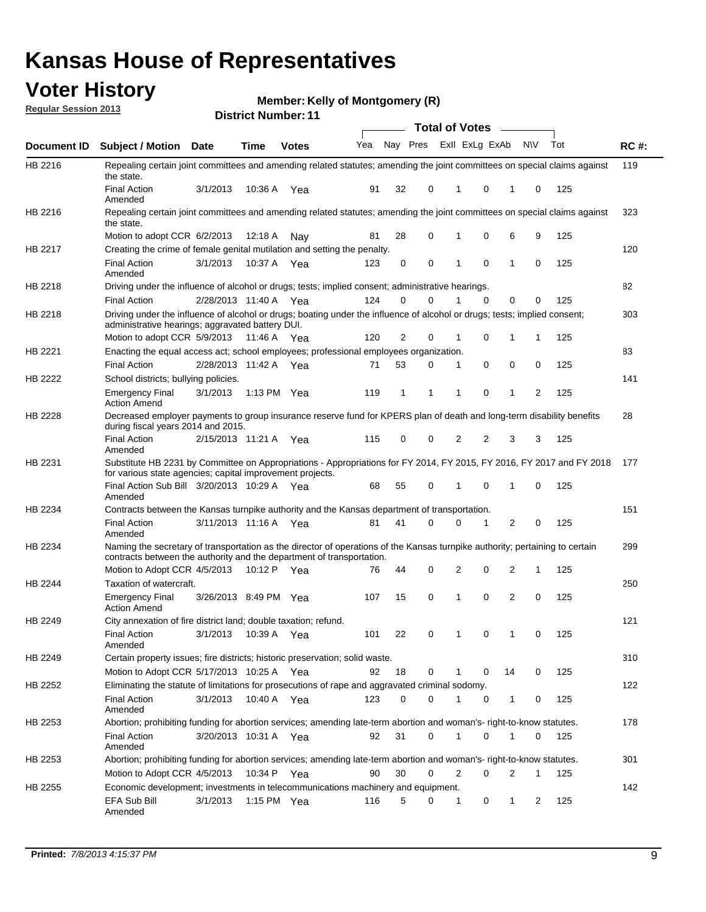### **Voter History**

**Member: Kelly of Montgomery (R)** 

**Regular Session 2013**

|             |                                                                                                                                                                                                       |                       |         | <b>DISTRICT MUTHDEL: 11</b> |     |          |          |          | Total of Votes – |                |              |     |             |
|-------------|-------------------------------------------------------------------------------------------------------------------------------------------------------------------------------------------------------|-----------------------|---------|-----------------------------|-----|----------|----------|----------|------------------|----------------|--------------|-----|-------------|
| Document ID | <b>Subject / Motion</b>                                                                                                                                                                               | <b>Date</b>           | Time    | <b>Votes</b>                | Yea | Nay Pres |          |          | Exll ExLg ExAb   |                | N\V          | Tot | <b>RC#:</b> |
| HB 2216     | Repealing certain joint committees and amending related statutes; amending the joint committees on special claims against<br>the state.                                                               |                       |         |                             |     |          |          |          |                  |                |              |     | 119         |
|             | <b>Final Action</b><br>Amended                                                                                                                                                                        | 3/1/2013              | 10:36 A | Yea                         | 91  | 32       | 0        | 1        | 0                | 1              | 0            | 125 |             |
| HB 2216     | Repealing certain joint committees and amending related statutes; amending the joint committees on special claims against<br>the state.                                                               |                       |         |                             |     |          |          |          |                  |                |              |     | 323         |
|             | Motion to adopt CCR 6/2/2013                                                                                                                                                                          |                       | 12:18 A | Nav                         | 81  | 28       | 0        |          | 0                | 6              | 9            | 125 |             |
| HB 2217     | Creating the crime of female genital mutilation and setting the penalty.                                                                                                                              |                       |         |                             |     |          |          |          |                  |                |              |     | 120         |
|             | <b>Final Action</b><br>Amended                                                                                                                                                                        | 3/1/2013              |         | 10:37 A Yea                 | 123 | 0        | 0        | 1        | 0                | $\mathbf{1}$   | 0            | 125 |             |
| HB 2218     | Driving under the influence of alcohol or drugs; tests; implied consent; administrative hearings.                                                                                                     |                       |         |                             |     |          |          |          |                  |                |              |     | 82          |
|             | <b>Final Action</b>                                                                                                                                                                                   | 2/28/2013 11:40 A Yea |         |                             | 124 | 0        | $\Omega$ | 1        | 0                | 0              | $\Omega$     | 125 |             |
| HB 2218     | Driving under the influence of alcohol or drugs; boating under the influence of alcohol or drugs; tests; implied consent;<br>administrative hearings; aggravated battery DUI.                         |                       |         |                             |     |          |          |          |                  |                |              |     | 303         |
|             | Motion to adopt CCR 5/9/2013                                                                                                                                                                          |                       | 11:46 A | Yea                         | 120 | 2        | 0        | 1        | 0                | 1              | 1            | 125 |             |
| HB 2221     | Enacting the equal access act; school employees; professional employees organization.                                                                                                                 |                       |         |                             |     |          |          |          |                  |                |              |     | 83          |
|             | <b>Final Action</b>                                                                                                                                                                                   | 2/28/2013 11:42 A     |         | Yea                         | 71  | 53       | 0        | 1        | 0                | 0              | 0            | 125 |             |
| HB 2222     | School districts; bullying policies.                                                                                                                                                                  |                       |         |                             |     |          |          |          |                  |                |              |     | 141         |
|             | <b>Emergency Final</b><br><b>Action Amend</b>                                                                                                                                                         | 3/1/2013              |         | 1:13 PM Yea                 | 119 | 1        | 1        | 1        | 0                | 1              | 2            | 125 |             |
| HB 2228     | Decreased employer payments to group insurance reserve fund for KPERS plan of death and long-term disability benefits<br>during fiscal years 2014 and 2015.                                           |                       |         |                             |     |          |          |          |                  |                |              |     | 28          |
|             | <b>Final Action</b><br>Amended                                                                                                                                                                        | 2/15/2013 11:21 A     |         | Yea                         | 115 | 0        | 0        | 2        | $\overline{2}$   | 3              | 3            | 125 |             |
| HB 2231     | Substitute HB 2231 by Committee on Appropriations - Appropriations for FY 2014, FY 2015, FY 2016, FY 2017 and FY 2018<br>for various state agencies; capital improvement projects.                    |                       |         |                             |     |          |          |          |                  |                |              |     | 177         |
|             | Final Action Sub Bill 3/20/2013 10:29 A Yea<br>Amended                                                                                                                                                |                       |         |                             | 68  | 55       | 0        |          | 0                | 1              | 0            | 125 |             |
| HB 2234     | Contracts between the Kansas turnpike authority and the Kansas department of transportation.                                                                                                          |                       |         |                             |     |          |          |          |                  |                |              |     | 151         |
|             | <b>Final Action</b><br>Amended                                                                                                                                                                        | 3/11/2013 11:16 A Yea |         |                             | 81  | 41       | $\Omega$ | $\Omega$ | 1                | $\overline{2}$ | 0            | 125 |             |
| HB 2234     | Naming the secretary of transportation as the director of operations of the Kansas turnpike authority; pertaining to certain<br>contracts between the authority and the department of transportation. |                       |         |                             |     |          |          |          |                  |                |              |     | 299         |
|             | Motion to Adopt CCR 4/5/2013                                                                                                                                                                          |                       | 10:12 P | Yea                         | 76  | 44       | 0        | 2        | 0                | 2              | $\mathbf{1}$ | 125 |             |
| HB 2244     | Taxation of watercraft.<br><b>Emergency Final</b>                                                                                                                                                     | 3/26/2013 8:49 PM Yea |         |                             | 107 | 15       | 0        | 1        | 0                | 2              | 0            | 125 | 250         |
|             | <b>Action Amend</b>                                                                                                                                                                                   |                       |         |                             |     |          |          |          |                  |                |              |     |             |
| HB 2249     | City annexation of fire district land; double taxation; refund.<br><b>Final Action</b>                                                                                                                | 3/1/2013 10:39 A Yea  |         |                             | 101 | 22       | 0        |          | 0                |                | 0            | 125 | 121         |
| HB 2249     | Amended                                                                                                                                                                                               |                       |         |                             |     |          |          |          |                  |                |              |     | 310         |
|             | Certain property issues; fire districts; historic preservation; solid waste.                                                                                                                          |                       |         |                             |     |          |          |          |                  |                | 0            |     |             |
|             | Motion to Adopt CCR 5/17/2013 10:25 A Yea                                                                                                                                                             |                       |         |                             | 92  | 18       | 0        | 1        | 0                | 14             |              | 125 |             |
| HB 2252     | Eliminating the statute of limitations for prosecutions of rape and aggravated criminal sodomy.                                                                                                       |                       |         |                             |     |          |          |          |                  |                |              |     | 122         |
|             | <b>Final Action</b><br>Amended                                                                                                                                                                        | 3/1/2013              |         | 10:40 A Yea                 | 123 | 0        | 0        | 1        | 0                | $\mathbf{1}$   | 0            | 125 |             |
| HB 2253     | Abortion; prohibiting funding for abortion services; amending late-term abortion and woman's- right-to-know statutes.                                                                                 |                       |         |                             |     |          |          |          |                  |                |              |     | 178         |
|             | <b>Final Action</b><br>Amended                                                                                                                                                                        | 3/20/2013 10:31 A Yea |         |                             | 92  | 31       | 0        | 1        | 0                | 1              | 0            | 125 |             |
| HB 2253     | Abortion; prohibiting funding for abortion services; amending late-term abortion and woman's- right-to-know statutes.                                                                                 |                       |         |                             |     |          |          |          |                  |                |              |     | 301         |
|             | Motion to Adopt CCR 4/5/2013                                                                                                                                                                          |                       | 10:34 P | Yea                         | 90  | 30       | 0        | 2        | 0                | 2              | $\mathbf{1}$ | 125 |             |
| HB 2255     | Economic development; investments in telecommunications machinery and equipment.                                                                                                                      |                       |         |                             |     |          |          |          |                  |                |              |     | 142         |
|             | EFA Sub Bill<br>Amended                                                                                                                                                                               | 3/1/2013              |         | 1:15 PM $Yea$               | 116 | 5        | 0        | 1        | 0                | 1              | 2            | 125 |             |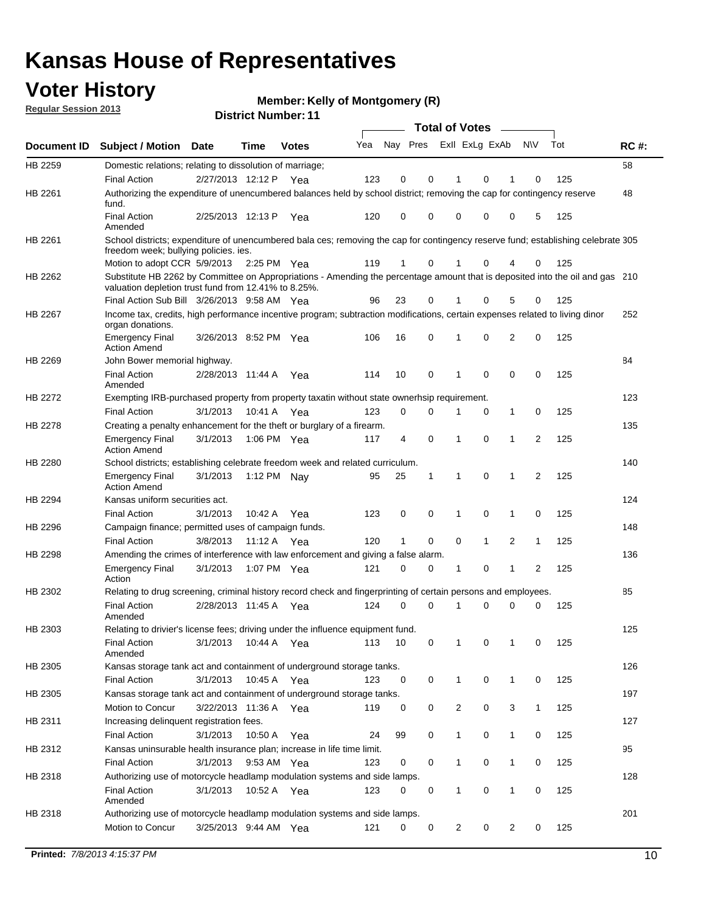### **Voter History**

**Member: Kelly of Montgomery (R)** 

**Regular Session 2013**

|                    |                                                                                                                                                                                       |                       | ו ו השעווואיו אטווסוע |              |     |          |          | <b>Total of Votes</b> |              | $\sim$       |                |     |     |
|--------------------|---------------------------------------------------------------------------------------------------------------------------------------------------------------------------------------|-----------------------|-----------------------|--------------|-----|----------|----------|-----------------------|--------------|--------------|----------------|-----|-----|
| <b>Document ID</b> | <b>Subject / Motion Date</b>                                                                                                                                                          |                       | <b>Time</b>           | <b>Votes</b> | Yea | Nay Pres |          | Exll ExLg ExAb        |              |              | <b>NV</b>      | Tot | RC# |
| HB 2259            | Domestic relations; relating to dissolution of marriage;                                                                                                                              |                       |                       |              |     |          |          |                       |              |              |                |     | 58  |
|                    | <b>Final Action</b>                                                                                                                                                                   | 2/27/2013 12:12 P     |                       | Yea          | 123 | 0        | 0        | 1                     | 0            | 1            | 0              | 125 |     |
| HB 2261            | Authorizing the expenditure of unencumbered balances held by school district; removing the cap for contingency reserve<br>fund.                                                       |                       |                       |              |     |          |          |                       |              |              |                |     | 48  |
|                    | <b>Final Action</b><br>Amended                                                                                                                                                        | 2/25/2013 12:13 P     |                       | Yea          | 120 | 0        | 0        | 0                     | 0            | 0            | 5              | 125 |     |
| HB 2261            | School districts; expenditure of unencumbered bala ces; removing the cap for contingency reserve fund; establishing celebrate 305<br>freedom week; bullying policies. ies.            |                       |                       |              |     |          |          |                       |              |              |                |     |     |
|                    | Motion to adopt CCR 5/9/2013 2:25 PM Yea                                                                                                                                              |                       |                       |              | 119 | 1        | 0        | 1                     | 0            | 4            | 0              | 125 |     |
| HB 2262            | Substitute HB 2262 by Committee on Appropriations - Amending the percentage amount that is deposited into the oil and gas 210<br>valuation depletion trust fund from 12.41% to 8.25%. |                       |                       |              |     |          |          |                       |              |              |                |     |     |
|                    | Final Action Sub Bill 3/26/2013 9:58 AM Yea                                                                                                                                           |                       |                       |              | 96  | 23       | 0        |                       | 0            | 5            | 0              | 125 |     |
| HB 2267            | Income tax, credits, high performance incentive program; subtraction modifications, certain expenses related to living dinor<br>organ donations.                                      |                       |                       |              |     |          |          |                       |              |              |                |     | 252 |
|                    | <b>Emergency Final</b><br><b>Action Amend</b>                                                                                                                                         | 3/26/2013 8:52 PM Yea |                       |              | 106 | 16       | 0        | 1                     | 0            | 2            | 0              | 125 |     |
| HB 2269            | John Bower memorial highway.                                                                                                                                                          |                       |                       |              |     |          |          |                       |              |              |                |     | 84  |
|                    | <b>Final Action</b><br>Amended                                                                                                                                                        | 2/28/2013 11:44 A Yea |                       |              | 114 | 10       | 0        | 1                     | 0            | 0            | 0              | 125 |     |
| <b>HB 2272</b>     | Exempting IRB-purchased property from property taxatin without state ownerhsip requirement.                                                                                           |                       |                       |              |     |          |          |                       |              |              |                |     | 123 |
|                    | <b>Final Action</b>                                                                                                                                                                   | 3/1/2013              | 10:41 A               | Yea          | 123 | 0        | 0        | 1                     | 0            | $\mathbf{1}$ | 0              | 125 |     |
| HB 2278            | Creating a penalty enhancement for the theft or burglary of a firearm.                                                                                                                |                       |                       |              |     |          |          |                       |              |              |                |     | 135 |
|                    | <b>Emergency Final</b><br><b>Action Amend</b>                                                                                                                                         | 3/1/2013              | 1:06 PM Yea           |              | 117 | 4        | 0        | 1                     | $\Omega$     | 1            | $\overline{2}$ | 125 |     |
| HB 2280            | School districts; establishing celebrate freedom week and related curriculum.                                                                                                         |                       |                       |              |     |          |          |                       |              |              |                |     | 140 |
|                    | <b>Emergency Final</b><br><b>Action Amend</b>                                                                                                                                         | 3/1/2013              | 1:12 PM Nay           |              | 95  | 25       | 1        | 1                     | 0            | 1            | 2              | 125 |     |
| HB 2294            | Kansas uniform securities act.                                                                                                                                                        |                       |                       |              |     |          |          |                       |              |              |                |     | 124 |
|                    | <b>Final Action</b>                                                                                                                                                                   | 3/1/2013              | 10:42 A               | Yea          | 123 | 0        | 0        | 1                     | 0            | 1            | 0              | 125 |     |
| HB 2296            | Campaign finance; permitted uses of campaign funds.                                                                                                                                   |                       |                       |              |     |          |          |                       |              |              |                |     | 148 |
|                    | <b>Final Action</b>                                                                                                                                                                   | 3/8/2013              | 11:12 A Yea           |              | 120 | 1        | 0        | 0                     | $\mathbf{1}$ | 2            | $\mathbf{1}$   | 125 |     |
| HB 2298            | Amending the crimes of interference with law enforcement and giving a false alarm.                                                                                                    |                       |                       |              |     |          |          |                       |              |              |                |     | 136 |
|                    | <b>Emergency Final</b><br>Action                                                                                                                                                      | 3/1/2013              | 1:07 PM Yea           |              | 121 | 0        | 0        | 1                     | 0            | 1            | 2              | 125 |     |
| HB 2302            | Relating to drug screening, criminal history record check and fingerprinting of certain persons and employees.                                                                        |                       |                       |              |     |          |          |                       |              |              |                |     | 85  |
|                    | <b>Final Action</b><br>Amended                                                                                                                                                        | 2/28/2013 11:45 A     |                       | Yea          | 124 | 0        | $\Omega$ | 1                     | 0            | 0            | 0              | 125 |     |
| HB 2303            | Relating to drivier's license fees; driving under the influence equipment fund.                                                                                                       |                       |                       |              |     |          |          |                       |              |              |                |     | 125 |
|                    | <b>Final Action</b><br>Amended                                                                                                                                                        | 3/1/2013              | 10:44 A               | Yea          | 113 | 10       | 0        | 1                     | 0            | 1            | 0              | 125 |     |
| HB 2305            | Kansas storage tank act and containment of underground storage tanks.                                                                                                                 |                       |                       |              |     |          |          |                       |              |              |                |     | 126 |
|                    | Final Action                                                                                                                                                                          | 3/1/2013              | 10:45 A               | Yea          | 123 | 0        | 0        | 1                     | 0            | 1            | 0              | 125 |     |
| HB 2305            | Kansas storage tank act and containment of underground storage tanks.                                                                                                                 |                       |                       |              |     |          |          |                       |              |              |                |     | 197 |
|                    | Motion to Concur                                                                                                                                                                      | 3/22/2013 11:36 A     |                       | Yea          | 119 | 0        | 0        | $\overline{c}$        | 0            | 3            | $\mathbf{1}$   | 125 |     |
| HB 2311            | Increasing delinquent registration fees.                                                                                                                                              |                       |                       |              |     |          |          |                       |              |              |                |     | 127 |
|                    | <b>Final Action</b>                                                                                                                                                                   | 3/1/2013              | 10:50 A               | Yea          | 24  | 99       | 0        | 1                     | 0            | $\mathbf{1}$ | 0              | 125 |     |
| HB 2312            | Kansas uninsurable health insurance plan; increase in life time limit.                                                                                                                |                       |                       |              |     |          |          |                       |              |              |                |     | 95  |
|                    | <b>Final Action</b>                                                                                                                                                                   | 3/1/2013              | 9:53 AM Yea           |              | 123 | 0        | 0        |                       | 0            | 1            | 0              | 125 |     |
| HB 2318            | Authorizing use of motorcycle headlamp modulation systems and side lamps.                                                                                                             |                       |                       |              |     |          |          |                       |              |              |                |     | 128 |
|                    | <b>Final Action</b><br>Amended                                                                                                                                                        | 3/1/2013              | 10:52 A               | Yea          | 123 | 0        | 0        | 1                     | 0            | 1            | 0              | 125 |     |
| HB 2318            | Authorizing use of motorcycle headlamp modulation systems and side lamps.                                                                                                             |                       |                       |              |     |          |          |                       |              |              |                |     | 201 |
|                    | Motion to Concur                                                                                                                                                                      | 3/25/2013 9:44 AM Yea |                       |              | 121 | 0        | 0        | 2                     | 0            | 2            | 0              | 125 |     |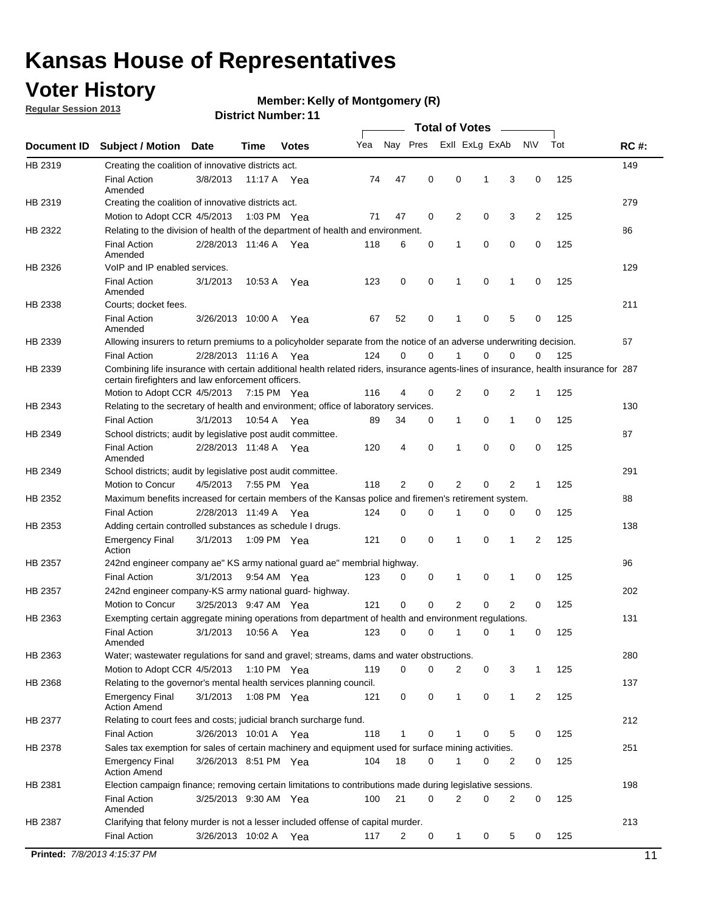### **Voter History**

**Member: Kelly of Montgomery (R)** 

**Regular Session 2013**

|             |                                                                                                                                                                                             |                       |             |               |     |             |             | <b>Total of Votes</b> |   |                |           |     |             |
|-------------|---------------------------------------------------------------------------------------------------------------------------------------------------------------------------------------------|-----------------------|-------------|---------------|-----|-------------|-------------|-----------------------|---|----------------|-----------|-----|-------------|
| Document ID | <b>Subject / Motion</b>                                                                                                                                                                     | <b>Date</b>           | Time        | <b>Votes</b>  | Yea | Nay Pres    |             | Exll ExLg ExAb        |   |                | <b>NV</b> | Tot | <b>RC#:</b> |
| HB 2319     | Creating the coalition of innovative districts act.                                                                                                                                         |                       |             |               |     |             |             |                       |   |                |           |     | 149         |
|             | <b>Final Action</b><br>Amended                                                                                                                                                              | 3/8/2013              | 11:17 A     | Yea           | 74  | 47          | 0           | 0                     | 1 | 3              | 0         | 125 |             |
| HB 2319     | Creating the coalition of innovative districts act.                                                                                                                                         |                       |             |               |     |             |             |                       |   |                |           |     | 279         |
|             | Motion to Adopt CCR 4/5/2013                                                                                                                                                                |                       |             | 1:03 PM Yea   | 71  | 47          | 0           | 2                     | 0 | 3              | 2         | 125 |             |
| HB 2322     | Relating to the division of health of the department of health and environment.                                                                                                             |                       |             |               |     |             |             |                       |   |                |           |     | 86          |
|             | <b>Final Action</b><br>Amended                                                                                                                                                              | 2/28/2013 11:46 A Yea |             |               | 118 | 6           | 0           | 1                     | 0 | 0              | 0         | 125 |             |
| HB 2326     | VoIP and IP enabled services.                                                                                                                                                               |                       |             |               |     |             |             |                       |   |                |           |     | 129         |
|             | <b>Final Action</b><br>Amended                                                                                                                                                              | 3/1/2013              | 10.53 A     | Yea           | 123 | $\mathbf 0$ | 0           | $\mathbf{1}$          | 0 | 1              | 0         | 125 |             |
| HB 2338     | Courts; docket fees.                                                                                                                                                                        |                       |             |               |     |             |             |                       |   |                |           |     | 211         |
|             | <b>Final Action</b><br>Amended                                                                                                                                                              | 3/26/2013 10:00 A     |             | Yea           | 67  | 52          | 0           | $\mathbf 1$           | 0 | 5              | 0         | 125 |             |
| HB 2339     | Allowing insurers to return premiums to a policyholder separate from the notice of an adverse underwriting decision.                                                                        |                       |             |               |     |             |             |                       |   |                |           |     | 67          |
|             | <b>Final Action</b>                                                                                                                                                                         | 2/28/2013 11:16 A Yea |             |               | 124 | 0           | 0           |                       | 0 | 0              | 0         | 125 |             |
| HB 2339     | Combining life insurance with certain additional health related riders, insurance agents-lines of insurance, health insurance for 287<br>certain firefighters and law enforcement officers. |                       |             |               |     |             |             |                       |   |                |           |     |             |
|             | Motion to Adopt CCR 4/5/2013 7:15 PM Yea                                                                                                                                                    |                       |             |               | 116 | 4           | 0           | 2                     | 0 | 2              | -1        | 125 |             |
| HB 2343     | Relating to the secretary of health and environment; office of laboratory services.                                                                                                         |                       |             |               |     |             |             |                       |   |                |           |     | 130         |
|             | <b>Final Action</b>                                                                                                                                                                         | 3/1/2013              | 10:54 A Yea |               | 89  | 34          | 0           | 1                     | 0 | $\mathbf{1}$   | 0         | 125 |             |
| HB 2349     | School districts; audit by legislative post audit committee.                                                                                                                                |                       |             |               |     |             |             |                       |   |                |           |     | 87          |
|             | <b>Final Action</b><br>Amended                                                                                                                                                              | 2/28/2013 11:48 A Yea |             |               | 120 | 4           | $\mathbf 0$ | $\mathbf{1}$          | 0 | $\mathbf 0$    | 0         | 125 |             |
| HB 2349     | School districts; audit by legislative post audit committee.                                                                                                                                |                       |             |               |     |             |             |                       |   |                |           |     | 291         |
|             | Motion to Concur                                                                                                                                                                            | 4/5/2013              |             | 7:55 PM Yea   | 118 | 2           | 0           | 2                     | 0 | 2              | 1         | 125 |             |
| HB 2352     | Maximum benefits increased for certain members of the Kansas police and firemen's retirement system.                                                                                        |                       |             |               |     |             |             |                       |   |                |           |     | 88          |
|             | <b>Final Action</b>                                                                                                                                                                         | 2/28/2013 11:49 A     |             | Yea           | 124 | 0           | 0           | 1                     | 0 | 0              | 0         | 125 |             |
| HB 2353     | Adding certain controlled substances as schedule I drugs.                                                                                                                                   |                       |             |               |     |             |             |                       |   |                |           |     | 138         |
|             | Emergency Final<br>Action                                                                                                                                                                   | 3/1/2013              |             | 1:09 PM Yea   | 121 | 0           | 0           | $\mathbf{1}$          | 0 | 1              | 2         | 125 |             |
| HB 2357     | 242nd engineer company ae" KS army national guard ae" membrial highway.                                                                                                                     |                       |             |               |     |             |             |                       |   |                |           |     | 96          |
|             | <b>Final Action</b>                                                                                                                                                                         | 3/1/2013              |             | 9:54 AM Yea   | 123 | 0           | 0           | 1                     | 0 | 1              | 0         | 125 |             |
| HB 2357     | 242nd engineer company-KS army national guard- highway.                                                                                                                                     |                       |             |               |     |             |             |                       |   |                |           |     | 202         |
|             | Motion to Concur                                                                                                                                                                            | 3/25/2013 9:47 AM Yea |             |               | 121 | $\mathbf 0$ | $\mathbf 0$ | 2                     | 0 | $\overline{2}$ | 0         | 125 |             |
| HB 2363     | Exempting certain aggregate mining operations from department of health and environment regulations.                                                                                        |                       |             |               |     |             |             |                       |   |                |           |     | 131         |
|             | <b>Final Action</b><br>Amended                                                                                                                                                              | 3/1/2013              | 10:56 A     | Yea           | 123 | 0           | 0           | 1                     | 0 | 1              | 0         | 125 |             |
| HB 2363     | Water; wastewater regulations for sand and gravel; streams, dams and water obstructions.                                                                                                    |                       |             |               |     |             |             |                       |   |                |           |     | 280         |
|             | Motion to Adopt CCR 4/5/2013                                                                                                                                                                |                       |             | 1:10 PM $Yea$ | 119 | 0           | 0           | 2                     | 0 | 3              | 1         | 125 |             |
| HB 2368     | Relating to the governor's mental health services planning council.<br>Emergency Final                                                                                                      | 3/1/2013              |             | 1:08 PM Yea   | 121 | 0           | 0           | 1                     | 0 | $\mathbf{1}$   | 2         | 125 | 137         |
| HB 2377     | <b>Action Amend</b><br>Relating to court fees and costs; judicial branch surcharge fund.                                                                                                    |                       |             |               |     |             |             |                       |   |                |           |     | 212         |
|             | <b>Final Action</b>                                                                                                                                                                         | 3/26/2013 10:01 A Yea |             |               | 118 | 1           | 0           |                       | 0 | 5              | 0         | 125 |             |
| HB 2378     | Sales tax exemption for sales of certain machinery and equipment used for surface mining activities.                                                                                        |                       |             |               |     |             |             |                       |   |                |           |     | 251         |
|             | Emergency Final<br><b>Action Amend</b>                                                                                                                                                      | 3/26/2013 8:51 PM Yea |             |               | 104 | 18          | 0           | 1                     | 0 | 2              | 0         | 125 |             |
| HB 2381     | Election campaign finance; removing certain limitations to contributions made during legislative sessions.                                                                                  |                       |             |               |     |             |             |                       |   |                |           |     | 198         |
|             | <b>Final Action</b><br>Amended                                                                                                                                                              | 3/25/2013 9:30 AM Yea |             |               | 100 | 21          | 0           | 2                     | 0 | 2              | 0         | 125 |             |
| HB 2387     | Clarifying that felony murder is not a lesser included offense of capital murder.                                                                                                           |                       |             |               |     |             |             |                       |   |                |           |     | 213         |
|             |                                                                                                                                                                                             |                       |             |               |     |             |             |                       |   |                |           |     |             |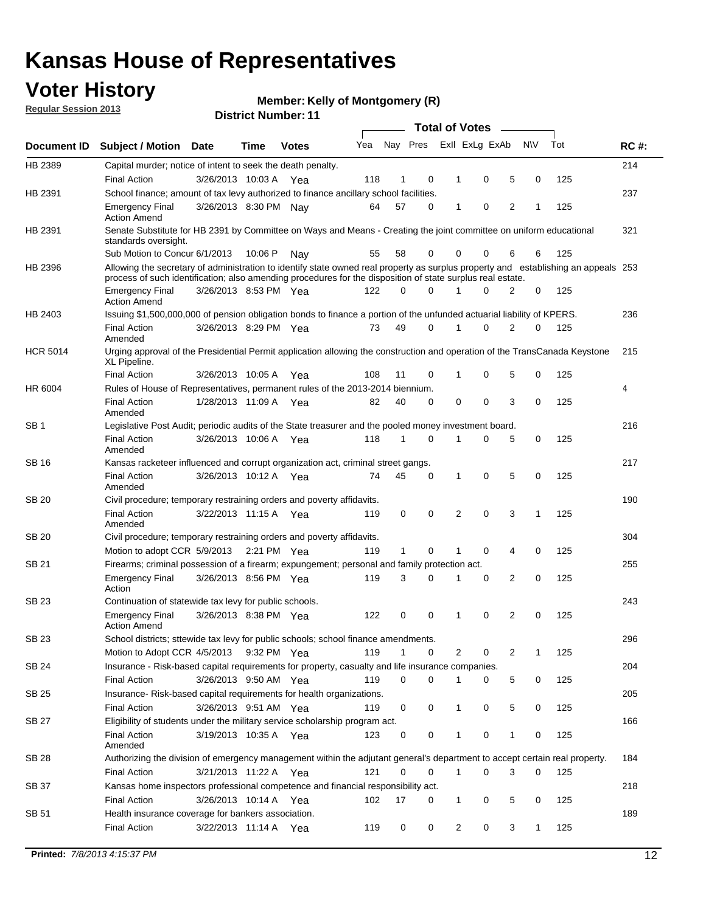### **Voter History**

**Member: Kelly of Montgomery (R)** 

**Regular Session 2013**

|                 |                                                                                                                                                                                                                                                  |                       |         |              |     |              |          | <b>Total of Votes</b> |   |   |           |     |             |
|-----------------|--------------------------------------------------------------------------------------------------------------------------------------------------------------------------------------------------------------------------------------------------|-----------------------|---------|--------------|-----|--------------|----------|-----------------------|---|---|-----------|-----|-------------|
| Document ID     | <b>Subject / Motion Date</b>                                                                                                                                                                                                                     |                       | Time    | <b>Votes</b> | Yea | Nay Pres     |          | Exll ExLg ExAb        |   |   | <b>NV</b> | Tot | <b>RC#:</b> |
| HB 2389         | Capital murder; notice of intent to seek the death penalty.                                                                                                                                                                                      |                       |         |              |     |              |          |                       |   |   |           |     | 214         |
|                 | <b>Final Action</b>                                                                                                                                                                                                                              | 3/26/2013 10:03 A     |         | Yea          | 118 | 1            | 0        | 1                     | 0 | 5 | 0         | 125 |             |
| HB 2391         | School finance; amount of tax levy authorized to finance ancillary school facilities.                                                                                                                                                            |                       |         |              |     |              |          |                       |   |   |           |     | 237         |
|                 | <b>Emergency Final</b><br><b>Action Amend</b>                                                                                                                                                                                                    | 3/26/2013 8:30 PM Nay |         |              | 64  | 57           | 0        | 1                     | 0 | 2 | 1         | 125 |             |
| HB 2391         | Senate Substitute for HB 2391 by Committee on Ways and Means - Creating the joint committee on uniform educational<br>standards oversight.                                                                                                       |                       |         |              |     |              |          |                       |   |   |           |     | 321         |
|                 | Sub Motion to Concur 6/1/2013                                                                                                                                                                                                                    |                       | 10:06 P | Nav          | 55  | 58           | 0        | 0                     | 0 | 6 | 6         | 125 |             |
| HB 2396         | Allowing the secretary of administration to identify state owned real property as surplus property and establishing an appeals 253<br>process of such identification; also amending procedures for the disposition of state surplus real estate. |                       |         |              |     |              |          |                       |   |   |           |     |             |
|                 | <b>Emergency Final</b><br><b>Action Amend</b>                                                                                                                                                                                                    | 3/26/2013 8:53 PM Yea |         |              | 122 | 0            | 0        | 1                     | 0 | 2 | 0         | 125 |             |
| HB 2403         | Issuing \$1,500,000,000 of pension obligation bonds to finance a portion of the unfunded actuarial liability of KPERS.                                                                                                                           |                       |         |              |     |              |          |                       |   |   |           |     | 236         |
|                 | <b>Final Action</b><br>Amended                                                                                                                                                                                                                   | 3/26/2013 8:29 PM Yea |         |              | 73  | 49           | 0        | 1                     | 0 | 2 | 0         | 125 |             |
| <b>HCR 5014</b> | Urging approval of the Presidential Permit application allowing the construction and operation of the TransCanada Keystone<br>XL Pipeline.                                                                                                       |                       |         |              |     |              |          |                       |   |   |           |     | 215         |
|                 | <b>Final Action</b>                                                                                                                                                                                                                              | 3/26/2013 10:05 A     |         | Yea          | 108 | 11           | 0        | 1                     | 0 | 5 | 0         | 125 |             |
| HR 6004         | Rules of House of Representatives, permanent rules of the 2013-2014 biennium.                                                                                                                                                                    |                       |         |              |     |              |          |                       |   |   |           |     | 4           |
|                 | <b>Final Action</b><br>Amended                                                                                                                                                                                                                   | 1/28/2013 11:09 A     |         | Yea          | 82  | 40           | 0        | 0                     | 0 | 3 | 0         | 125 |             |
| SB <sub>1</sub> | Legislative Post Audit; periodic audits of the State treasurer and the pooled money investment board.                                                                                                                                            |                       |         |              |     |              |          |                       |   |   |           |     | 216         |
|                 | <b>Final Action</b><br>Amended                                                                                                                                                                                                                   | 3/26/2013 10:06 A Yea |         |              | 118 | $\mathbf 1$  | 0        | 1                     | 0 | 5 | 0         | 125 |             |
| SB 16           | Kansas racketeer influenced and corrupt organization act, criminal street gangs.                                                                                                                                                                 |                       |         |              |     |              |          |                       |   |   |           |     | 217         |
|                 | <b>Final Action</b><br>Amended                                                                                                                                                                                                                   | 3/26/2013 10:12 A Yea |         |              | 74  | 45           | 0        | 1                     | 0 | 5 | 0         | 125 |             |
| SB 20           | Civil procedure; temporary restraining orders and poverty affidavits.                                                                                                                                                                            |                       |         |              |     |              |          |                       |   |   |           |     | 190         |
|                 | <b>Final Action</b><br>Amended                                                                                                                                                                                                                   | 3/22/2013 11:15 A     |         | Yea          | 119 | 0            | 0        | 2                     | 0 | 3 | 1         | 125 |             |
| SB 20           | Civil procedure; temporary restraining orders and poverty affidavits.                                                                                                                                                                            |                       |         |              |     |              |          |                       |   |   |           |     | 304         |
|                 | Motion to adopt CCR 5/9/2013 2:21 PM Yea                                                                                                                                                                                                         |                       |         |              | 119 | $\mathbf{1}$ | 0        | 1                     | 0 | 4 | 0         | 125 |             |
| SB 21           | Firearms; criminal possession of a firearm; expungement; personal and family protection act.                                                                                                                                                     |                       |         |              |     |              |          |                       |   |   |           |     | 255         |
|                 | <b>Emergency Final</b><br>Action                                                                                                                                                                                                                 | 3/26/2013 8:56 PM Yea |         |              | 119 | 3            | 0        | 1                     | 0 | 2 | 0         | 125 |             |
| SB 23           | Continuation of statewide tax levy for public schools.                                                                                                                                                                                           |                       |         |              |     |              |          |                       |   |   |           |     | 243         |
|                 | <b>Emergency Final</b><br><b>Action Amend</b>                                                                                                                                                                                                    | 3/26/2013 8:38 PM Yea |         |              | 122 | 0            | 0        | 1                     | 0 | 2 | 0         | 125 |             |
| SB 23           | School districts; sttewide tax levy for public schools; school finance amendments.                                                                                                                                                               |                       |         |              |     |              |          |                       |   |   |           |     | 296         |
|                 | Motion to Adopt CCR 4/5/2013 9:32 PM Yea                                                                                                                                                                                                         |                       |         |              | 119 | $\mathbf 1$  | 0        | 2                     | 0 | 2 | 1         | 125 |             |
| SB 24           | Insurance - Risk-based capital requirements for property, casualty and life insurance companies.                                                                                                                                                 |                       |         |              |     |              |          |                       |   |   |           |     | 204         |
|                 | <b>Final Action</b>                                                                                                                                                                                                                              | 3/26/2013 9:50 AM Yea |         |              | 119 | 0            | 0        | 1                     | 0 | 5 | 0         | 125 |             |
| SB 25           | Insurance-Risk-based capital requirements for health organizations.                                                                                                                                                                              |                       |         |              |     |              |          |                       |   |   |           |     | 205         |
|                 | <b>Final Action</b>                                                                                                                                                                                                                              | 3/26/2013 9:51 AM Yea |         |              | 119 | 0            | 0        | 1                     | 0 | 5 | 0         | 125 |             |
| SB 27           | Eligibility of students under the military service scholarship program act.                                                                                                                                                                      |                       |         |              |     |              |          |                       |   |   |           |     | 166         |
|                 | <b>Final Action</b><br>Amended                                                                                                                                                                                                                   | 3/19/2013 10:35 A Yea |         |              | 123 | 0            | 0        | 1                     | 0 | 1 | 0         | 125 |             |
| SB 28           | Authorizing the division of emergency management within the adjutant general's department to accept certain real property.                                                                                                                       |                       |         |              |     |              |          |                       |   |   |           |     | 184         |
|                 | Final Action                                                                                                                                                                                                                                     | 3/21/2013 11:22 A Yea |         |              | 121 | 0            | $\Omega$ | 1                     | 0 | 3 | 0         | 125 |             |
| SB 37           | Kansas home inspectors professional competence and financial responsibility act.                                                                                                                                                                 |                       |         |              |     |              |          |                       |   |   |           |     | 218         |
|                 | <b>Final Action</b>                                                                                                                                                                                                                              | 3/26/2013 10:14 A Yea |         |              | 102 | 17           | 0        | 1                     | 0 | 5 | 0         | 125 |             |
| SB 51           | Health insurance coverage for bankers association.                                                                                                                                                                                               |                       |         |              |     |              |          |                       |   |   |           |     | 189         |
|                 | <b>Final Action</b>                                                                                                                                                                                                                              | 3/22/2013 11:14 A Yea |         |              | 119 | 0            | 0        | 2                     | 0 | 3 | 1         | 125 |             |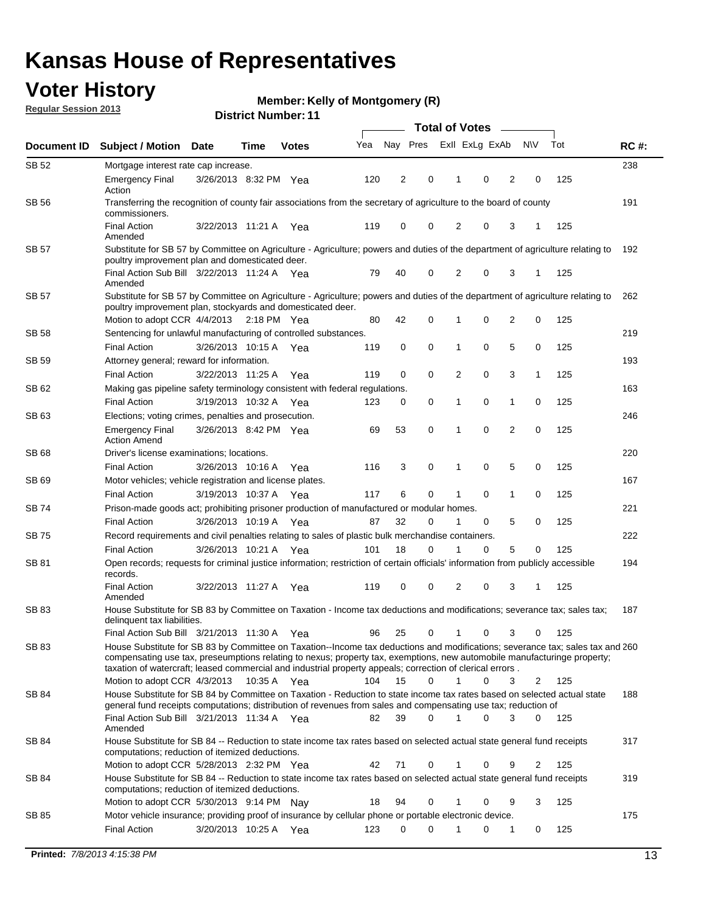### **Voter History**

**Member: Kelly of Montgomery (R)** 

**Regular Session 2013**

|              |                                                                                                                                                                                                                                                                                                                                                                         |                       |             |              |     | <b>Total of Votes</b> |             |                |   |                |             |     |             |  |
|--------------|-------------------------------------------------------------------------------------------------------------------------------------------------------------------------------------------------------------------------------------------------------------------------------------------------------------------------------------------------------------------------|-----------------------|-------------|--------------|-----|-----------------------|-------------|----------------|---|----------------|-------------|-----|-------------|--|
| Document ID  | <b>Subject / Motion Date</b>                                                                                                                                                                                                                                                                                                                                            |                       | Time        | <b>Votes</b> | Yea | Nay Pres              |             | Exll ExLg ExAb |   |                | <b>NV</b>   | Tot | <b>RC#:</b> |  |
| SB 52        | Mortgage interest rate cap increase.                                                                                                                                                                                                                                                                                                                                    |                       |             |              |     |                       |             |                |   |                |             |     | 238         |  |
|              | <b>Emergency Final</b><br>Action                                                                                                                                                                                                                                                                                                                                        | 3/26/2013 8:32 PM Yea |             |              | 120 | 2                     | 0           |                | 0 | 2              | 0           | 125 |             |  |
| SB 56        | Transferring the recognition of county fair associations from the secretary of agriculture to the board of county<br>commissioners.                                                                                                                                                                                                                                     |                       |             |              |     |                       |             |                |   |                |             |     | 191         |  |
|              | <b>Final Action</b><br>Amended                                                                                                                                                                                                                                                                                                                                          | 3/22/2013 11:21 A     |             | Yea          | 119 | 0                     | 0           | 2              | 0 | 3              | 1           | 125 |             |  |
| SB 57        | Substitute for SB 57 by Committee on Agriculture - Agriculture; powers and duties of the department of agriculture relating to<br>poultry improvement plan and domesticated deer.                                                                                                                                                                                       |                       |             |              |     |                       |             |                |   |                |             |     | 192         |  |
|              | Final Action Sub Bill 3/22/2013 11:24 A Yea<br>Amended                                                                                                                                                                                                                                                                                                                  |                       |             |              | 79  | 40                    | 0           | 2              | 0 | 3              | 1           | 125 |             |  |
| SB 57        | Substitute for SB 57 by Committee on Agriculture - Agriculture; powers and duties of the department of agriculture relating to<br>poultry improvement plan, stockyards and domesticated deer.                                                                                                                                                                           |                       |             |              |     |                       |             |                |   |                |             |     | 262         |  |
|              | Motion to adopt CCR 4/4/2013 2:18 PM Yea                                                                                                                                                                                                                                                                                                                                |                       |             |              | 80  | 42                    | 0           | 1              | 0 | 2              | 0           | 125 |             |  |
| SB 58        | Sentencing for unlawful manufacturing of controlled substances.                                                                                                                                                                                                                                                                                                         |                       |             |              |     |                       |             |                |   |                |             |     | 219         |  |
|              | <b>Final Action</b>                                                                                                                                                                                                                                                                                                                                                     | 3/26/2013 10:15 A     |             | Yea          | 119 | 0                     | 0           | 1              | 0 | 5              | 0           | 125 |             |  |
| <b>SB 59</b> | Attorney general; reward for information.                                                                                                                                                                                                                                                                                                                               |                       |             |              |     |                       |             |                |   |                |             |     | 193         |  |
|              | <b>Final Action</b>                                                                                                                                                                                                                                                                                                                                                     | 3/22/2013 11:25 A     |             | Yea          | 119 | 0                     | 0           | 2              | 0 | 3              | 1           | 125 |             |  |
| SB 62        | Making gas pipeline safety terminology consistent with federal regulations.                                                                                                                                                                                                                                                                                             |                       |             |              |     |                       |             |                |   |                |             |     | 163         |  |
|              | <b>Final Action</b>                                                                                                                                                                                                                                                                                                                                                     | 3/19/2013 10:32 A     |             | Yea          | 123 | 0                     | 0           | 1              | 0 | 1              | 0           | 125 |             |  |
| SB 63        | Elections; voting crimes, penalties and prosecution.                                                                                                                                                                                                                                                                                                                    |                       |             |              |     |                       |             |                |   |                |             |     | 246         |  |
|              | <b>Emergency Final</b><br><b>Action Amend</b>                                                                                                                                                                                                                                                                                                                           | 3/26/2013 8:42 PM Yea |             |              | 69  | 53                    | $\mathbf 0$ | 1              | 0 | $\overline{2}$ | $\mathbf 0$ | 125 |             |  |
| SB 68        | Driver's license examinations; locations.                                                                                                                                                                                                                                                                                                                               |                       |             |              |     |                       |             |                |   |                |             |     | 220         |  |
|              | <b>Final Action</b>                                                                                                                                                                                                                                                                                                                                                     | 3/26/2013 10:16 A     |             | Yea          | 116 | 3                     | 0           | 1              | 0 | 5              | 0           | 125 |             |  |
| SB 69        | Motor vehicles; vehicle registration and license plates.                                                                                                                                                                                                                                                                                                                |                       |             |              |     |                       |             |                |   |                |             |     | 167         |  |
|              | <b>Final Action</b>                                                                                                                                                                                                                                                                                                                                                     | 3/19/2013 10:37 A     |             | Yea          | 117 | 6                     | 0           | 1              | 0 | $\mathbf{1}$   | 0           | 125 |             |  |
| SB 74        | Prison-made goods act; prohibiting prisoner production of manufactured or modular homes.                                                                                                                                                                                                                                                                                |                       |             |              |     |                       |             |                |   |                |             |     | 221         |  |
|              | <b>Final Action</b>                                                                                                                                                                                                                                                                                                                                                     | 3/26/2013 10:19 A     |             | Yea          | 87  | 32                    | 0           | 1              | 0 | 5              | 0           | 125 |             |  |
| SB 75        | Record requirements and civil penalties relating to sales of plastic bulk merchandise containers.                                                                                                                                                                                                                                                                       |                       |             |              |     |                       |             |                |   |                |             |     | 222         |  |
|              | <b>Final Action</b>                                                                                                                                                                                                                                                                                                                                                     | 3/26/2013 10:21 A     |             | Yea          | 101 | 18                    | 0           | 1              | 0 | 5              | 0           | 125 |             |  |
| SB 81        | Open records; requests for criminal justice information; restriction of certain officials' information from publicly accessible<br>records.<br><b>Final Action</b>                                                                                                                                                                                                      | 3/22/2013 11:27 A     |             |              | 119 | 0                     | 0           | 2              | 0 | 3              |             | 125 | 194         |  |
|              | Amended                                                                                                                                                                                                                                                                                                                                                                 |                       |             | Yea          |     |                       |             |                |   |                |             |     |             |  |
| <b>SB 83</b> | House Substitute for SB 83 by Committee on Taxation - Income tax deductions and modifications; severance tax; sales tax;<br>delinquent tax liabilities.                                                                                                                                                                                                                 |                       |             |              |     |                       |             |                |   |                |             |     | 187         |  |
|              | Final Action Sub Bill 3/21/2013 11:30 A Yea                                                                                                                                                                                                                                                                                                                             |                       |             |              | 96  | 25                    | 0           | 1              | 0 | 3              | 0           | 125 |             |  |
| SB 83        | House Substitute for SB 83 by Committee on Taxation--Income tax deductions and modifications; severance tax; sales tax and 260<br>compensating use tax, preseumptions relating to nexus; property tax, exemptions, new automobile manufacturinge property;<br>taxation of watercraft; leased commercial and industrial property appeals; correction of clerical errors. |                       |             |              |     |                       |             |                |   |                |             |     |             |  |
|              | Motion to adopt CCR 4/3/2013                                                                                                                                                                                                                                                                                                                                            |                       | 10:35 A Yea |              | 104 | 15                    | 0           | $\mathbf{1}$   | 0 | 3              | 2           | 125 |             |  |
| SB 84        | House Substitute for SB 84 by Committee on Taxation - Reduction to state income tax rates based on selected actual state<br>general fund receipts computations; distribution of revenues from sales and compensating use tax; reduction of<br>Final Action Sub Bill 3/21/2013 11:34 A Yea                                                                               |                       |             |              | 82  | 39                    | $\Omega$    |                | 0 | 3              | $\Omega$    | 125 | 188         |  |
|              | Amended                                                                                                                                                                                                                                                                                                                                                                 |                       |             |              |     |                       |             |                |   |                |             |     |             |  |
| SB 84        | House Substitute for SB 84 -- Reduction to state income tax rates based on selected actual state general fund receipts<br>computations; reduction of itemized deductions.                                                                                                                                                                                               |                       |             |              |     |                       |             |                |   |                |             |     | 317         |  |
|              | Motion to adopt CCR 5/28/2013 2:32 PM Yea                                                                                                                                                                                                                                                                                                                               |                       |             |              | 42  | 71                    | 0           |                | 0 | 9              | 2           | 125 |             |  |
| SB 84        | House Substitute for SB 84 -- Reduction to state income tax rates based on selected actual state general fund receipts<br>computations; reduction of itemized deductions.                                                                                                                                                                                               |                       |             |              |     |                       |             |                |   |                |             |     | 319         |  |
|              | Motion to adopt CCR 5/30/2013 9:14 PM Nay                                                                                                                                                                                                                                                                                                                               |                       |             |              | 18  | 94                    | 0           |                | 0 | 9              | 3           | 125 |             |  |
| SB 85        | Motor vehicle insurance; providing proof of insurance by cellular phone or portable electronic device.<br><b>Final Action</b>                                                                                                                                                                                                                                           | 3/20/2013 10:25 A Yea |             |              | 123 | 0                     | $\Omega$    |                | 0 | 1              | 0           | 125 | 175         |  |
|              |                                                                                                                                                                                                                                                                                                                                                                         |                       |             |              |     |                       |             |                |   |                |             |     |             |  |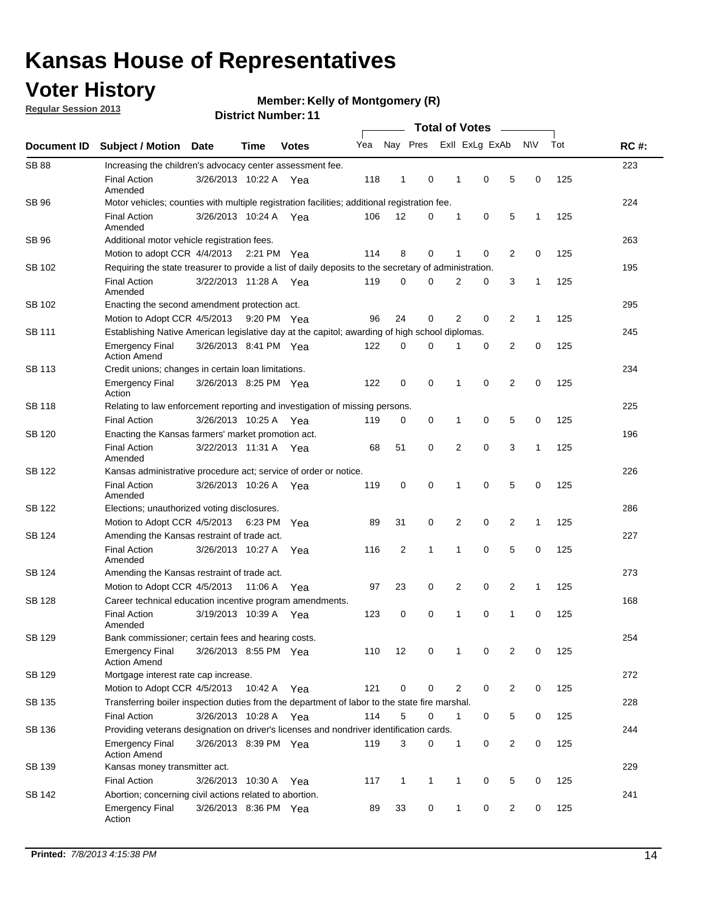### **Voter History**

**Member: Kelly of Montgomery (R)** 

**Regular Session 2013**

| Document ID   |                                                                                                       |                                                                                                         |                                                            |              |     |                |             |                |             |   |              |     |             |  |  |  |  |  |  |  |
|---------------|-------------------------------------------------------------------------------------------------------|---------------------------------------------------------------------------------------------------------|------------------------------------------------------------|--------------|-----|----------------|-------------|----------------|-------------|---|--------------|-----|-------------|--|--|--|--|--|--|--|
|               | <b>Subject / Motion</b>                                                                               | <b>Date</b>                                                                                             | Time                                                       | <b>Votes</b> | Yea | Nay Pres       |             | Exll ExLg ExAb |             |   | N\V          | Tot | <b>RC#:</b> |  |  |  |  |  |  |  |
| <b>SB 88</b>  | Increasing the children's advocacy center assessment fee.                                             |                                                                                                         |                                                            |              |     |                |             |                |             |   |              |     | 223         |  |  |  |  |  |  |  |
|               | <b>Final Action</b><br>Amended                                                                        | 3/26/2013 10:22 A Yea                                                                                   |                                                            |              | 118 | $\mathbf{1}$   | 0           | 1              | 0           | 5 | 0            | 125 |             |  |  |  |  |  |  |  |
| SB 96         | Motor vehicles; counties with multiple registration facilities; additional registration fee.          |                                                                                                         |                                                            |              |     |                |             |                |             |   |              |     | 224         |  |  |  |  |  |  |  |
|               | <b>Final Action</b><br>Amended                                                                        | 3/26/2013 10:24 A Yea                                                                                   |                                                            |              | 106 | 12             | 0           | 1              | 0           | 5 | 1            | 125 |             |  |  |  |  |  |  |  |
| SB 96         | Additional motor vehicle registration fees.                                                           |                                                                                                         |                                                            |              |     |                |             |                |             |   |              |     | 263         |  |  |  |  |  |  |  |
|               | Motion to adopt CCR 4/4/2013 2:21 PM Yea                                                              |                                                                                                         |                                                            |              | 114 | 8              | $\mathbf 0$ | 1              | 0           | 2 | 0            | 125 |             |  |  |  |  |  |  |  |
| SB 102        | Requiring the state treasurer to provide a list of daily deposits to the secretary of administration. |                                                                                                         |                                                            |              |     |                |             |                |             |   |              |     | 195         |  |  |  |  |  |  |  |
|               | <b>Final Action</b><br>Amended                                                                        | 3/22/2013 11:28 A Yea                                                                                   |                                                            |              | 119 | $\mathbf 0$    | $\Omega$    | 2              | 0           | 3 | 1            | 125 |             |  |  |  |  |  |  |  |
| SB 102        | 295<br>Enacting the second amendment protection act.                                                  |                                                                                                         |                                                            |              |     |                |             |                |             |   |              |     |             |  |  |  |  |  |  |  |
|               | Motion to Adopt CCR 4/5/2013                                                                          |                                                                                                         |                                                            | 9:20 PM Yea  | 96  | 24             | 0           | 2              | 0           | 2 | 1            | 125 |             |  |  |  |  |  |  |  |
| SB 111        | Establishing Native American legislative day at the capitol; awarding of high school diplomas.        |                                                                                                         |                                                            |              |     |                |             |                |             |   |              |     |             |  |  |  |  |  |  |  |
|               | <b>Emergency Final</b><br><b>Action Amend</b>                                                         | 3/26/2013 8:41 PM Yea                                                                                   |                                                            |              | 122 | 0              | 0           | 1              | 0           | 2 | 0            | 125 |             |  |  |  |  |  |  |  |
| <b>SB 113</b> | Credit unions; changes in certain loan limitations.                                                   |                                                                                                         |                                                            |              |     |                |             |                |             |   |              |     | 234         |  |  |  |  |  |  |  |
|               | <b>Emergency Final</b><br>Action                                                                      | 3/26/2013 8:25 PM Yea                                                                                   |                                                            |              | 122 | 0              | 0           | 1              | 0           | 2 | 0            | 125 |             |  |  |  |  |  |  |  |
| SB 118        | Relating to law enforcement reporting and investigation of missing persons.                           |                                                                                                         |                                                            |              |     |                |             |                |             |   |              |     | 225         |  |  |  |  |  |  |  |
|               | <b>Final Action</b>                                                                                   | 3/26/2013 10:25 A Yea                                                                                   |                                                            |              | 119 | 0              | 0           | 1              | 0           | 5 | 0            | 125 |             |  |  |  |  |  |  |  |
| SB 120        | Enacting the Kansas farmers' market promotion act.                                                    |                                                                                                         |                                                            |              |     |                |             |                |             |   |              |     | 196         |  |  |  |  |  |  |  |
|               | <b>Final Action</b><br>Amended                                                                        | 3/22/2013 11:31 A Yea                                                                                   |                                                            |              | 68  | 51             | 0           | 2              | $\mathbf 0$ | 3 | 1            | 125 |             |  |  |  |  |  |  |  |
| SB 122        | Kansas administrative procedure act; service of order or notice.                                      |                                                                                                         |                                                            |              |     |                |             |                |             |   |              |     | 226         |  |  |  |  |  |  |  |
|               | <b>Final Action</b><br>Amended                                                                        | 3/26/2013 10:26 A Yea                                                                                   |                                                            |              | 119 | 0              | $\mathbf 0$ | 1              | $\mathbf 0$ | 5 | 0            | 125 |             |  |  |  |  |  |  |  |
| SB 122        | Elections; unauthorized voting disclosures.                                                           |                                                                                                         |                                                            |              |     |                |             |                |             |   |              |     | 286         |  |  |  |  |  |  |  |
|               | Motion to Adopt CCR 4/5/2013                                                                          |                                                                                                         |                                                            | 6:23 PM Yea  | 89  | 31             | 0           | 2              | 0           | 2 | 1            | 125 |             |  |  |  |  |  |  |  |
| SB 124        | Amending the Kansas restraint of trade act.                                                           |                                                                                                         |                                                            |              |     |                |             |                |             |   |              |     | 227         |  |  |  |  |  |  |  |
|               | <b>Final Action</b><br>Amended                                                                        | 3/26/2013 10:27 A                                                                                       |                                                            | Yea          | 116 | $\overline{c}$ | 1           | 1              | $\mathbf 0$ | 5 | 0            | 125 |             |  |  |  |  |  |  |  |
| SB 124        |                                                                                                       | 273<br>Amending the Kansas restraint of trade act.                                                      |                                                            |              |     |                |             |                |             |   |              |     |             |  |  |  |  |  |  |  |
|               | Motion to Adopt CCR 4/5/2013                                                                          |                                                                                                         | 11:06 A                                                    | Yea          | 97  | 23             | 0           | 2              | 0           | 2 | $\mathbf{1}$ | 125 |             |  |  |  |  |  |  |  |
| <b>SB 128</b> | Career technical education incentive program amendments.                                              |                                                                                                         |                                                            |              |     |                |             |                |             |   |              |     | 168         |  |  |  |  |  |  |  |
|               | <b>Final Action</b><br>Amended                                                                        | 3/19/2013 10:39 A                                                                                       |                                                            | Yea          | 123 | 0              | 0           | 1              | 0           | 1 | 0            | 125 |             |  |  |  |  |  |  |  |
| <b>SB 129</b> | Bank commissioner; certain fees and hearing costs.                                                    |                                                                                                         |                                                            |              |     |                |             |                |             |   |              |     | 254         |  |  |  |  |  |  |  |
|               | Emergency Final<br><b>Action Amend</b>                                                                | 3/26/2013 8:55 PM Yea                                                                                   |                                                            |              | 110 | 12             | 0           | 1              | 0           | 2 | 0            | 125 |             |  |  |  |  |  |  |  |
| <b>SB 129</b> | Mortgage interest rate cap increase.                                                                  |                                                                                                         |                                                            |              |     |                |             |                |             |   |              |     | 272         |  |  |  |  |  |  |  |
|               |                                                                                                       | 121<br>0<br>2<br>0<br>$\overline{2}$<br>0<br>125<br>Motion to Adopt CCR 4/5/2013<br>10:42 A<br>0<br>Yea |                                                            |              |     |                |             |                |             |   |              |     |             |  |  |  |  |  |  |  |
| SB 135        | Transferring boiler inspection duties from the department of labor to the state fire marshal.         |                                                                                                         |                                                            |              |     |                |             |                |             |   |              |     | 228         |  |  |  |  |  |  |  |
|               | <b>Final Action</b><br>3/26/2013 10:28 A Yea<br>114<br>5<br>0<br>5<br>0<br>125<br>0<br>1              |                                                                                                         |                                                            |              |     |                |             |                |             |   |              |     |             |  |  |  |  |  |  |  |
| SB 136        | Providing veterans designation on driver's licenses and nondriver identification cards.               |                                                                                                         |                                                            |              |     |                |             |                |             |   |              |     | 244         |  |  |  |  |  |  |  |
|               | Emergency Final<br><b>Action Amend</b>                                                                | 3/26/2013 8:39 PM Yea                                                                                   |                                                            |              | 119 | 3              | 0           | 1              | 0           | 2 | 0            | 125 |             |  |  |  |  |  |  |  |
| SB 139        | Kansas money transmitter act.                                                                         |                                                                                                         |                                                            |              |     |                |             |                |             |   |              |     | 229         |  |  |  |  |  |  |  |
|               | <b>Final Action</b>                                                                                   | 3/26/2013 10:30 A                                                                                       | 117<br>0<br>5<br>0<br>125<br>$\mathbf{1}$<br>1<br>1<br>Yea |              |     |                |             |                |             |   |              |     |             |  |  |  |  |  |  |  |
| SB 142        | Abortion; concerning civil actions related to abortion.                                               |                                                                                                         |                                                            |              |     |                |             |                |             |   |              |     | 241         |  |  |  |  |  |  |  |
|               | <b>Emergency Final</b><br>Action                                                                      | 3/26/2013 8:36 PM Yea                                                                                   |                                                            |              | 89  | 33             | 0           | 1              | 0           | 2 | 0            | 125 |             |  |  |  |  |  |  |  |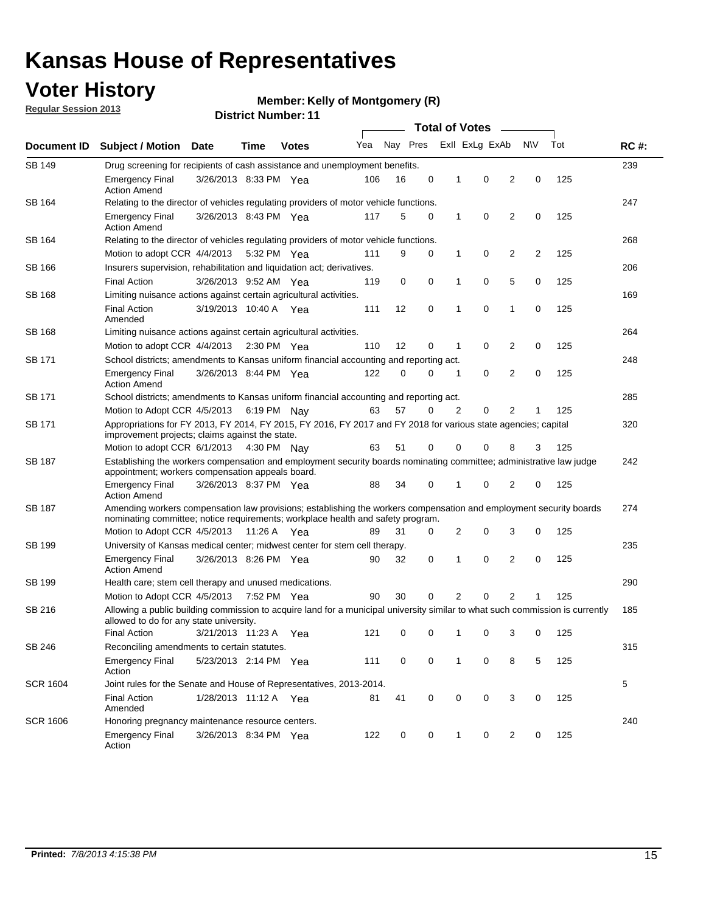### **Voter History**

**Member: Kelly of Montgomery (R)** 

**Regular Session 2013**

|                 |                                                                                                                                                                                                       |                       |             |              | <b>Total of Votes</b> |          |          |              |                |                |                |     |             |
|-----------------|-------------------------------------------------------------------------------------------------------------------------------------------------------------------------------------------------------|-----------------------|-------------|--------------|-----------------------|----------|----------|--------------|----------------|----------------|----------------|-----|-------------|
| Document ID     | <b>Subject / Motion Date</b>                                                                                                                                                                          |                       | Time        | <b>Votes</b> | Yea                   | Nay Pres |          |              | Exll ExLg ExAb |                | <b>NV</b>      | Tot | <b>RC#:</b> |
| <b>SB 149</b>   | 239<br>Drug screening for recipients of cash assistance and unemployment benefits.                                                                                                                    |                       |             |              |                       |          |          |              |                |                |                |     |             |
|                 | <b>Emergency Final</b><br><b>Action Amend</b>                                                                                                                                                         | 3/26/2013 8:33 PM Yea |             |              | 106                   | 16       | 0        | 1            | 0              | 2              | 0              | 125 |             |
| SB 164          | Relating to the director of vehicles regulating providers of motor vehicle functions.                                                                                                                 |                       |             |              |                       |          |          |              |                |                |                |     | 247         |
|                 | <b>Emergency Final</b><br><b>Action Amend</b>                                                                                                                                                         | 3/26/2013 8:43 PM Yea |             |              | 117                   | 5        | 0        | $\mathbf{1}$ | 0              | 2              | 0              | 125 |             |
| SB 164          | Relating to the director of vehicles regulating providers of motor vehicle functions.                                                                                                                 |                       |             |              |                       |          |          |              |                |                |                |     | 268         |
|                 | Motion to adopt CCR 4/4/2013                                                                                                                                                                          |                       | 5:32 PM Yea |              | 111                   | 9        | 0        | $\mathbf{1}$ | 0              | 2              | $\overline{2}$ | 125 |             |
| SB 166          | Insurers supervision, rehabilitation and liquidation act; derivatives.                                                                                                                                |                       |             |              |                       |          |          |              |                |                |                |     | 206         |
|                 | <b>Final Action</b>                                                                                                                                                                                   | 3/26/2013 9:52 AM Yea |             |              | 119                   | 0        | 0        | 1            | 0              | 5              | 0              | 125 |             |
| SB 168          | Limiting nuisance actions against certain agricultural activities.                                                                                                                                    |                       |             |              |                       |          |          |              |                |                |                |     | 169         |
|                 | <b>Final Action</b><br>Amended                                                                                                                                                                        | 3/19/2013 10:40 A Yea |             |              | 111                   | 12       | 0        | 1            | 0              | 1              | 0              | 125 |             |
| <b>SB 168</b>   | Limiting nuisance actions against certain agricultural activities.                                                                                                                                    |                       |             |              |                       |          |          |              |                |                |                |     | 264         |
|                 | Motion to adopt CCR 4/4/2013                                                                                                                                                                          |                       | 2:30 PM Yea |              | 110                   | 12       | 0        | 1            | 0              | 2              | 0              | 125 |             |
| SB 171          | School districts; amendments to Kansas uniform financial accounting and reporting act.                                                                                                                |                       |             |              |                       |          |          |              |                |                |                |     | 248         |
|                 | <b>Emergency Final</b><br><b>Action Amend</b>                                                                                                                                                         | 3/26/2013 8:44 PM Yea |             |              | 122                   | 0        | 0        | 1            | 0              | 2              | 0              | 125 |             |
| SB 171          | School districts; amendments to Kansas uniform financial accounting and reporting act.                                                                                                                |                       |             |              |                       |          |          |              |                |                |                |     | 285         |
|                 | Motion to Adopt CCR 4/5/2013 6:19 PM Nay                                                                                                                                                              |                       |             |              | 63                    | 57       | $\Omega$ | 2            | 0              | 2              |                | 125 |             |
| SB 171          | Appropriations for FY 2013, FY 2014, FY 2015, FY 2016, FY 2017 and FY 2018 for various state agencies; capital<br>improvement projects; claims against the state.                                     |                       |             |              |                       |          |          |              |                |                |                | 320 |             |
|                 | Motion to adopt CCR 6/1/2013 4:30 PM Nay                                                                                                                                                              |                       |             |              | 63                    | 51       | 0        | 0            | 0              | 8              | 3              | 125 |             |
| <b>SB 187</b>   | Establishing the workers compensation and employment security boards nominating committee; administrative law judge<br>appointment; workers compensation appeals board.                               |                       |             |              |                       |          |          |              |                |                |                |     | 242         |
|                 | <b>Emergency Final</b><br><b>Action Amend</b>                                                                                                                                                         | 3/26/2013 8:37 PM Yea |             |              | 88                    | 34       | 0        |              | 0              | 2              | 0              | 125 |             |
| SB 187          | Amending workers compensation law provisions; establishing the workers compensation and employment security boards<br>nominating committee; notice requirements; workplace health and safety program. |                       |             |              |                       |          |          |              |                |                |                |     | 274         |
|                 | Motion to Adopt CCR 4/5/2013 11:26 A Yea                                                                                                                                                              |                       |             |              | 89                    | 31       | 0        | 2            | 0              | 3              | 0              | 125 |             |
| SB 199          | University of Kansas medical center; midwest center for stem cell therapy.                                                                                                                            |                       |             |              |                       |          |          |              |                |                |                |     | 235         |
|                 | Emergency Final<br><b>Action Amend</b>                                                                                                                                                                | 3/26/2013 8:26 PM Yea |             |              | 90                    | 32       | 0        | 1            | 0              | 2              | 0              | 125 |             |
| SB 199          | Health care; stem cell therapy and unused medications.                                                                                                                                                |                       |             |              |                       |          |          |              |                |                |                |     | 290         |
|                 | Motion to Adopt CCR 4/5/2013                                                                                                                                                                          |                       | 7:52 PM Yea |              | 90                    | 30       | 0        | 2            | 0              | $\overline{2}$ |                | 125 |             |
| SB 216          | Allowing a public building commission to acquire land for a municipal university similar to what such commission is currently<br>allowed to do for any state university.                              |                       |             |              |                       |          |          |              |                |                |                |     | 185         |
|                 | <b>Final Action</b>                                                                                                                                                                                   | 3/21/2013 11:23 A Yea |             |              | 121                   | 0        | 0        | 1            | 0              | 3              | 0              | 125 |             |
| SB 246          | Reconciling amendments to certain statutes.                                                                                                                                                           |                       |             |              |                       |          |          |              |                |                |                |     | 315         |
|                 | <b>Emergency Final</b><br>Action                                                                                                                                                                      | 5/23/2013 2:14 PM Yea |             |              | 111                   | 0        | 0        | 1            | 0              | 8              | 5              | 125 |             |
| <b>SCR 1604</b> | Joint rules for the Senate and House of Representatives, 2013-2014.                                                                                                                                   |                       |             |              |                       |          |          |              |                |                |                |     | 5           |
|                 | <b>Final Action</b><br>Amended                                                                                                                                                                        | 1/28/2013 11:12 A Yea |             |              | 81                    | 41       | 0        | 0            | 0              | 3              | 0              | 125 |             |
| <b>SCR 1606</b> | Honoring pregnancy maintenance resource centers.                                                                                                                                                      |                       |             |              |                       |          |          |              |                |                |                |     | 240         |
|                 | <b>Emergency Final</b><br>Action                                                                                                                                                                      | 3/26/2013 8:34 PM Yea |             |              | 122                   | 0        | 0        | 1            | 0              | 2              | 0              | 125 |             |